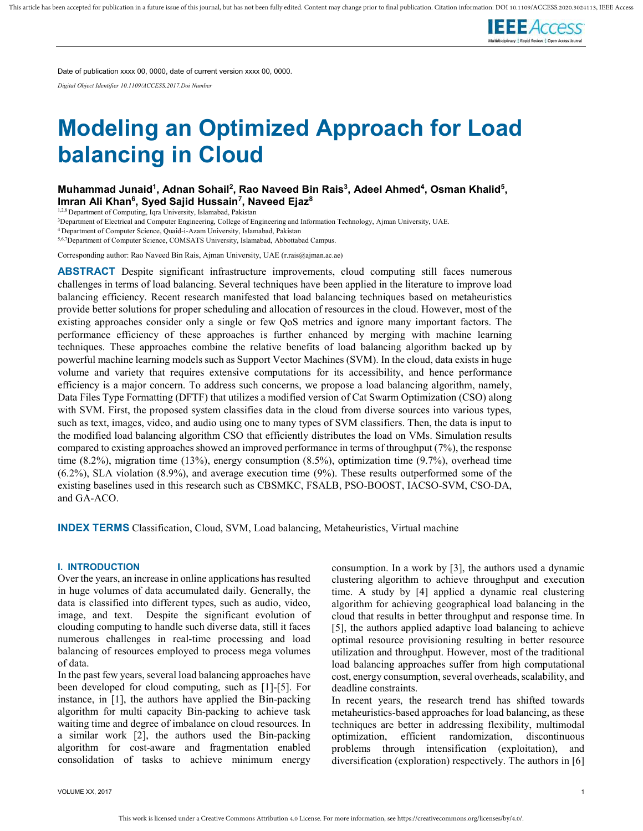

Date of publication xxxx 00, 0000, date of current version xxxx 00, 0000. Digital Object Identifier 10.1109/ACCESS.2017.Doi Number

# Modeling an Optimized Approach for Load balancing in Cloud

Muhammad Junaid<sup>1</sup>, Adnan Sohail<sup>2</sup>, Rao Naveed Bin Rais<sup>3</sup>, Adeel Ahmed<sup>4</sup>, Osman Khalid<sup>5</sup>, Imran Ali Khan<sup>6</sup>, Syed Sajid Hussain<sup>7</sup>, Naveed Ejaz<sup>8</sup>

1,2,8 Department of Computing, Iqra University, Islamabad, Pakistan

<sup>3</sup>Department of Electrical and Computer Engineering, College of Engineering and Information Technology, Ajman University, UAE.

<sup>4</sup>Department of Computer Science, Quaid-i-Azam University, Islamabad, Pakistan

5,6,7Department of Computer Science, COMSATS University, Islamabad, Abbottabad Campus.

Corresponding author: Rao Naveed Bin Rais, Ajman University, UAE (r.rais@ajman.ac.ae)

ABSTRACT Despite significant infrastructure improvements, cloud computing still faces numerous challenges in terms of load balancing. Several techniques have been applied in the literature to improve load balancing efficiency. Recent research manifested that load balancing techniques based on metaheuristics provide better solutions for proper scheduling and allocation of resources in the cloud. However, most of the existing approaches consider only a single or few QoS metrics and ignore many important factors. The performance efficiency of these approaches is further enhanced by merging with machine learning techniques. These approaches combine the relative benefits of load balancing algorithm backed up by powerful machine learning models such as Support Vector Machines (SVM). In the cloud, data exists in huge volume and variety that requires extensive computations for its accessibility, and hence performance efficiency is a major concern. To address such concerns, we propose a load balancing algorithm, namely, Data Files Type Formatting (DFTF) that utilizes a modified version of Cat Swarm Optimization (CSO) along with SVM. First, the proposed system classifies data in the cloud from diverse sources into various types, such as text, images, video, and audio using one to many types of SVM classifiers. Then, the data is input to the modified load balancing algorithm CSO that efficiently distributes the load on VMs. Simulation results compared to existing approaches showed an improved performance in terms of throughput (7%), the response time (8.2%), migration time (13%), energy consumption (8.5%), optimization time (9.7%), overhead time (6.2%), SLA violation (8.9%), and average execution time (9%). These results outperformed some of the existing baselines used in this research such as CBSMKC, FSALB, PSO-BOOST, IACSO-SVM, CSO-DA, and GA-ACO.

INDEX TERMS Classification, Cloud, SVM, Load balancing, Metaheuristics, Virtual machine

### I. INTRODUCTION

Over the years, an increase in online applications has resulted in huge volumes of data accumulated daily. Generally, the data is classified into different types, such as audio, video, image, and text. Despite the significant evolution of clouding computing to handle such diverse data, still it faces numerous challenges in real-time processing and load balancing of resources employed to process mega volumes of data.

In the past few years, several load balancing approaches have been developed for cloud computing, such as [1]-[5]. For instance, in [1], the authors have applied the Bin-packing algorithm for multi capacity Bin-packing to achieve task waiting time and degree of imbalance on cloud resources. In a similar work [2], the authors used the Bin-packing algorithm for cost-aware and fragmentation enabled consolidation of tasks to achieve minimum energy consumption. In a work by [3], the authors used a dynamic clustering algorithm to achieve throughput and execution time. A study by [4] applied a dynamic real clustering algorithm for achieving geographical load balancing in the cloud that results in better throughput and response time. In [5], the authors applied adaptive load balancing to achieve optimal resource provisioning resulting in better resource utilization and throughput. However, most of the traditional load balancing approaches suffer from high computational cost, energy consumption, several overheads, scalability, and deadline constraints.

In recent years, the research trend has shifted towards metaheuristics-based approaches for load balancing, as these techniques are better in addressing flexibility, multimodal optimization, efficient randomization, discontinuous problems through intensification (exploitation), and diversification (exploration) respectively. The authors in [6]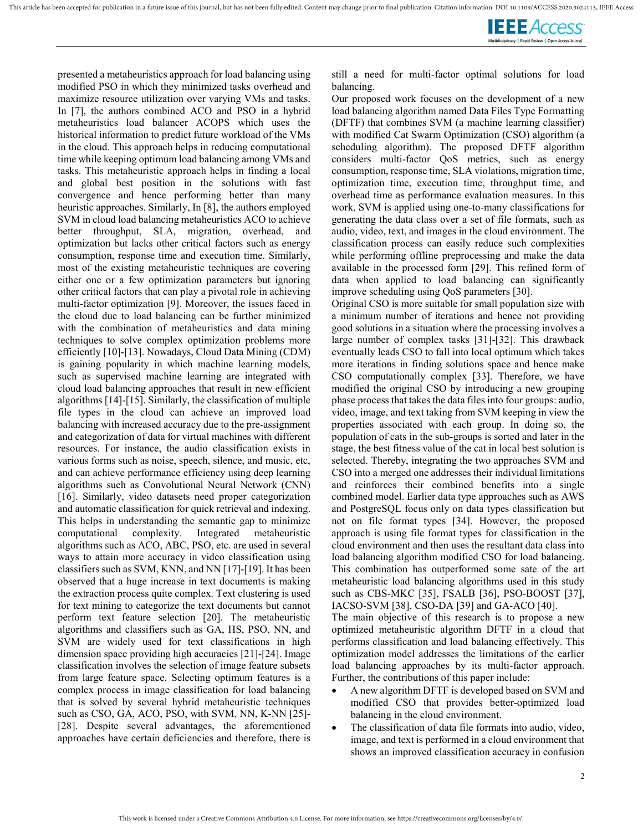

presented a metaheuristics approach for load balancing using modified PSO in which they minimized tasks overhead and maximize resource utilization over varying VMs and tasks. In [7], the authors combined ACO and PSO in a hybrid metaheuristics load balancer ACOPS which uses the historical information to predict future workload of the VMs in the cloud. This approach helps in reducing computational time while keeping optimum load balancing among VMs and tasks. This metaheuristic approach helps in finding a local and global best position in the solutions with fast convergence and hence performing better than many heuristic approaches. Similarly, In [8], the authors employed SVM in cloud load balancing metaheuristics ACO to achieve better throughput, SLA, migration, overhead, and optimization but lacks other critical factors such as energy consumption, response time and execution time. Similarly, most of the existing metaheuristic techniques are covering either one or a few optimization parameters but ignoring other critical factors that can play a pivotal role in achieving multi-factor optimization [9]. Moreover, the issues faced in the cloud due to load balancing can be further minimized with the combination of metaheuristics and data mining techniques to solve complex optimization problems more efficiently [10]-[13]. Nowadays, Cloud Data Mining (CDM) is gaining popularity in which machine learning models, such as supervised machine learning are integrated with cloud load balancing approaches that result in new efficient algorithms [14]-[15]. Similarly, the classification of multiple file types in the cloud can achieve an improved load balancing with increased accuracy due to the pre-assignment and categorization of data for virtual machines with different resources. For instance, the audio classification exists in various forms such as noise, speech, silence, and music, etc, and can achieve performance efficiency using deep learning algorithms such as Convolutional Neural Network (CNN) [16]. Similarly, video datasets need proper categorization and automatic classification for quick retrieval and indexing. This helps in understanding the semantic gap to minimize computational complexity. Integrated metaheuristic algorithms such as ACO, ABC, PSO, etc. are used in several ways to attain more accuracy in video classification using classifiers such as SVM, KNN, and NN [17]-[19]. It has been observed that a huge increase in text documents is making the extraction process quite complex. Text clustering is used for text mining to categorize the text documents but cannot perform text feature selection [20]. The metaheuristic algorithms and classifiers such as GA, HS, PSO, NN, and SVM are widely used for text classifications in high dimension space providing high accuracies [21]-[24]. Image classification involves the selection of image feature subsets from large feature space. Selecting optimum features is a complex process in image classification for load balancing that is solved by several hybrid metaheuristic techniques such as CSO, GA, ACO, PSO, with SVM, NN, K-NN [25]- [28]. Despite several advantages, the aforementioned approaches have certain deficiencies and therefore, there is

still a need for multi-factor optimal solutions for load balancing.

Our proposed work focuses on the development of a new load balancing algorithm named Data Files Type Formatting (DFTF) that combines SVM (a machine learning classifier) with modified Cat Swarm Optimization (CSO) algorithm (a scheduling algorithm). The proposed DFTF algorithm considers multi-factor QoS metrics, such as energy consumption, response time, SLA violations, migration time, optimization time, execution time, throughput time, and overhead time as performance evaluation measures. In this work, SVM is applied using one-to-many classifications for generating the data class over a set of file formats, such as audio, video, text, and images in the cloud environment. The classification process can easily reduce such complexities while performing offline preprocessing and make the data available in the processed form [29]. This refined form of data when applied to load balancing can significantly improve scheduling using QoS parameters [30].

Original CSO is more suitable for small population size with a minimum number of iterations and hence not providing good solutions in a situation where the processing involves a large number of complex tasks [31]-[32]. This drawback eventually leads CSO to fall into local optimum which takes more iterations in finding solutions space and hence make CSO computationally complex [33]. Therefore, we have modified the original CSO by introducing a new grouping phase process that takes the data files into four groups: audio, video, image, and text taking from SVM keeping in view the properties associated with each group. In doing so, the population of cats in the sub-groups is sorted and later in the stage, the best fitness value of the cat in local best solution is selected. Thereby, integrating the two approaches SVM and CSO into a merged one addresses their individual limitations and reinforces their combined benefits into a single combined model. Earlier data type approaches such as AWS and PostgreSQL focus only on data types classification but not on file format types [34]. However, the proposed approach is using file format types for classification in the cloud environment and then uses the resultant data class into load balancing algorithm modified CSO for load balancing. This combination has outperformed some sate of the art metaheuristic load balancing algorithms used in this study such as CBS-MKC [35], FSALB [36], PSO-BOOST [37], IACSO-SVM [38], CSO-DA [39] and GA-ACO [40].

The main objective of this research is to propose a new optimized metaheuristic algorithm DFTF in a cloud that performs classification and load balancing effectively. This optimization model addresses the limitations of the earlier load balancing approaches by its multi-factor approach. Further, the contributions of this paper include:

- A new algorithm DFTF is developed based on SVM and modified CSO that provides better-optimized load balancing in the cloud environment.
- The classification of data file formats into audio, video, image, and text is performed in a cloud environment that shows an improved classification accuracy in confusion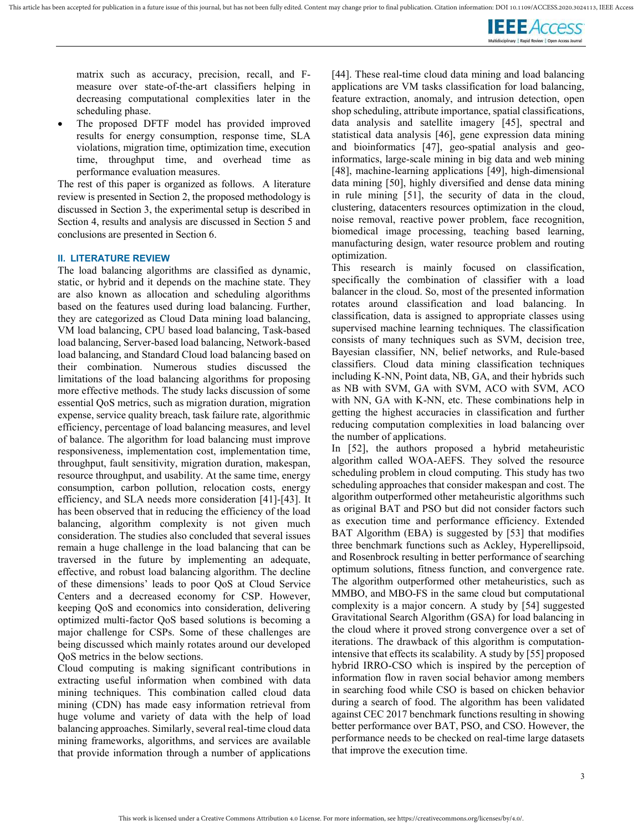

matrix such as accuracy, precision, recall, and Fmeasure over state-of-the-art classifiers helping in decreasing computational complexities later in the scheduling phase.

 The proposed DFTF model has provided improved results for energy consumption, response time, SLA violations, migration time, optimization time, execution time, throughput time, and overhead time as performance evaluation measures.

The rest of this paper is organized as follows. A literature review is presented in Section 2, the proposed methodology is discussed in Section 3, the experimental setup is described in Section 4, results and analysis are discussed in Section 5 and conclusions are presented in Section 6.

### II. LITERATURE REVIEW

The load balancing algorithms are classified as dynamic, static, or hybrid and it depends on the machine state. They are also known as allocation and scheduling algorithms based on the features used during load balancing. Further, they are categorized as Cloud Data mining load balancing, VM load balancing, CPU based load balancing, Task-based load balancing, Server-based load balancing, Network-based load balancing, and Standard Cloud load balancing based on their combination. Numerous studies discussed the limitations of the load balancing algorithms for proposing more effective methods. The study lacks discussion of some essential QoS metrics, such as migration duration, migration expense, service quality breach, task failure rate, algorithmic efficiency, percentage of load balancing measures, and level of balance. The algorithm for load balancing must improve responsiveness, implementation cost, implementation time, throughput, fault sensitivity, migration duration, makespan, resource throughput, and usability. At the same time, energy consumption, carbon pollution, relocation costs, energy efficiency, and SLA needs more consideration [41]-[43]. It has been observed that in reducing the efficiency of the load balancing, algorithm complexity is not given much consideration. The studies also concluded that several issues remain a huge challenge in the load balancing that can be traversed in the future by implementing an adequate, effective, and robust load balancing algorithm. The decline of these dimensions' leads to poor QoS at Cloud Service Centers and a decreased economy for CSP. However, keeping QoS and economics into consideration, delivering optimized multi-factor QoS based solutions is becoming a major challenge for CSPs. Some of these challenges are being discussed which mainly rotates around our developed QoS metrics in the below sections.

Cloud computing is making significant contributions in extracting useful information when combined with data mining techniques. This combination called cloud data mining (CDN) has made easy information retrieval from huge volume and variety of data with the help of load balancing approaches. Similarly, several real-time cloud data mining frameworks, algorithms, and services are available that provide information through a number of applications [44]. These real-time cloud data mining and load balancing applications are VM tasks classification for load balancing, feature extraction, anomaly, and intrusion detection, open shop scheduling, attribute importance, spatial classifications, data analysis and satellite imagery [45], spectral and statistical data analysis [46], gene expression data mining and bioinformatics [47], geo-spatial analysis and geoinformatics, large-scale mining in big data and web mining [48], machine-learning applications [49], high-dimensional data mining [50], highly diversified and dense data mining in rule mining [51], the security of data in the cloud, clustering, datacenters resources optimization in the cloud, noise removal, reactive power problem, face recognition, biomedical image processing, teaching based learning, manufacturing design, water resource problem and routing optimization.

This research is mainly focused on classification, specifically the combination of classifier with a load balancer in the cloud. So, most of the presented information rotates around classification and load balancing. In classification, data is assigned to appropriate classes using supervised machine learning techniques. The classification consists of many techniques such as SVM, decision tree, Bayesian classifier, NN, belief networks, and Rule-based classifiers. Cloud data mining classification techniques including K-NN, Point data, NB, GA, and their hybrids such as NB with SVM, GA with SVM, ACO with SVM, ACO with NN, GA with K-NN, etc. These combinations help in getting the highest accuracies in classification and further reducing computation complexities in load balancing over the number of applications.

In [52], the authors proposed a hybrid metaheuristic algorithm called WOA-AEFS. They solved the resource scheduling problem in cloud computing. This study has two scheduling approaches that consider makespan and cost. The algorithm outperformed other metaheuristic algorithms such as original BAT and PSO but did not consider factors such as execution time and performance efficiency. Extended BAT Algorithm (EBA) is suggested by [53] that modifies three benchmark functions such as Ackley, Hyperellipsoid, and Rosenbrock resulting in better performance of searching optimum solutions, fitness function, and convergence rate. The algorithm outperformed other metaheuristics, such as MMBO, and MBO-FS in the same cloud but computational complexity is a major concern. A study by [54] suggested Gravitational Search Algorithm (GSA) for load balancing in the cloud where it proved strong convergence over a set of iterations. The drawback of this algorithm is computationintensive that effects its scalability. A study by [55] proposed hybrid IRRO-CSO which is inspired by the perception of information flow in raven social behavior among members in searching food while CSO is based on chicken behavior during a search of food. The algorithm has been validated against CEC 2017 benchmark functions resulting in showing better performance over BAT, PSO, and CSO. However, the performance needs to be checked on real-time large datasets that improve the execution time.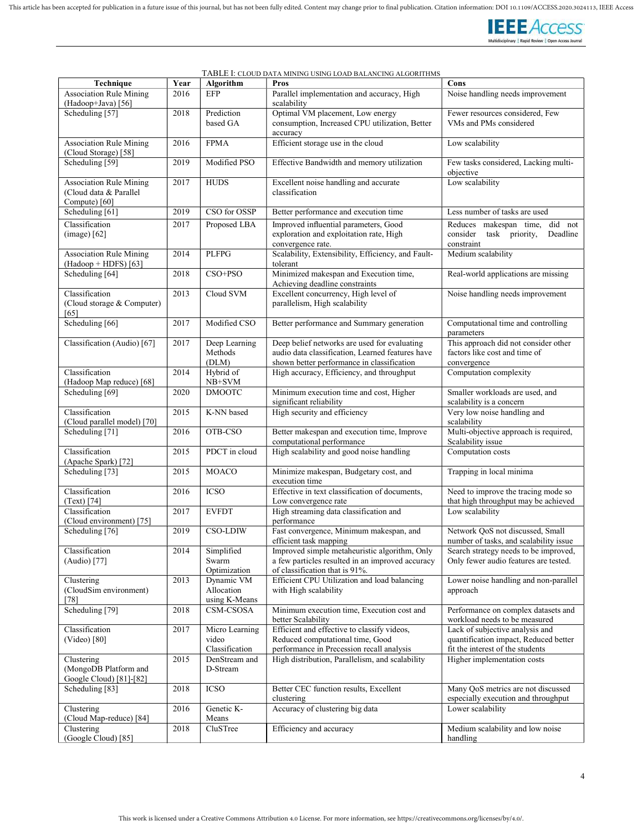

| Technique                                                                 | Year | Algorithm                                 | <u>ILA MINING COING LOAD DALANCING ALGONITHI</u><br>Pros                                                                                       | Cons                                                                                                         |
|---------------------------------------------------------------------------|------|-------------------------------------------|------------------------------------------------------------------------------------------------------------------------------------------------|--------------------------------------------------------------------------------------------------------------|
| <b>Association Rule Mining</b><br>(Hadoop+Java) [56]                      | 2016 | <b>EFP</b>                                | Parallel implementation and accuracy, High<br>scalability                                                                                      | Noise handling needs improvement                                                                             |
| Scheduling [57]                                                           | 2018 | Prediction<br>based GA                    | Optimal VM placement, Low energy<br>consumption, Increased CPU utilization, Better<br>accuracy                                                 | Fewer resources considered, Few<br>VMs and PMs considered                                                    |
| <b>Association Rule Mining</b><br>(Cloud Storage) [58]                    | 2016 | <b>FPMA</b>                               | Efficient storage use in the cloud                                                                                                             | Low scalability                                                                                              |
| Scheduling [59]                                                           | 2019 | Modified PSO                              | Effective Bandwidth and memory utilization                                                                                                     | Few tasks considered, Lacking multi-<br>objective                                                            |
| <b>Association Rule Mining</b><br>(Cloud data & Parallel<br>Compute) [60] | 2017 | <b>HUDS</b>                               | Excellent noise handling and accurate<br>classification                                                                                        | Low scalability                                                                                              |
| Scheduling [61]                                                           | 2019 | CSO for OSSP                              | Better performance and execution time                                                                                                          | Less number of tasks are used                                                                                |
| Classification<br>$(image)$ [62]                                          | 2017 | Proposed LBA                              | Improved influential parameters, Good<br>exploration and exploitation rate, High<br>convergence rate.                                          | Reduces makespan time, did not<br>task priority,<br>Deadline<br>consider<br>constraint                       |
| <b>Association Rule Mining</b><br>(Hadoop + HDFS) [63]                    | 2014 | <b>PLFPG</b>                              | Scalability, Extensibility, Efficiency, and Fault-<br>tolerant                                                                                 | Medium scalability                                                                                           |
| Scheduling [64]                                                           | 2018 | $CSO+PSO$                                 | Minimized makespan and Execution time,<br>Achieving deadline constraints                                                                       | Real-world applications are missing                                                                          |
| Classification<br>(Cloud storage & Computer)<br>[65]                      | 2013 | Cloud SVM                                 | Excellent concurrency, High level of<br>parallelism, High scalability                                                                          | Noise handling needs improvement                                                                             |
| Scheduling [66]                                                           | 2017 | Modified CSO                              | Better performance and Summary generation                                                                                                      | Computational time and controlling<br>parameters                                                             |
| Classification (Audio) [67]                                               | 2017 | Deep Learning<br>Methods<br>(DLM)         | Deep belief networks are used for evaluating<br>audio data classification. Learned features have<br>shown better performance in classification | This approach did not consider other<br>factors like cost and time of<br>convergence                         |
| Classification<br>(Hadoop Map reduce) [68]                                | 2014 | Hybrid of<br>NB+SVM                       | High accuracy, Efficiency, and throughput                                                                                                      | Computation complexity                                                                                       |
| Scheduling [69]                                                           | 2020 | <b>DMOOTC</b>                             | Minimum execution time and cost, Higher<br>significant reliability                                                                             | Smaller workloads are used, and<br>scalability is a concern                                                  |
| Classification<br>(Cloud parallel model) [70]                             | 2015 | K-NN based                                | High security and efficiency                                                                                                                   | Very low noise handling and<br>scalability                                                                   |
| Scheduling [71]                                                           | 2016 | OTB-CSO                                   | Better makespan and execution time, Improve<br>computational performance                                                                       | Multi-objective approach is required,<br>Scalability issue                                                   |
| Classification<br>(Apache Spark) [72]                                     | 2015 | PDCT in cloud                             | High scalability and good noise handling                                                                                                       | Computation costs                                                                                            |
| Scheduling [73]                                                           | 2015 | <b>MOACO</b>                              | Minimize makespan, Budgetary cost, and<br>execution time                                                                                       | Trapping in local minima                                                                                     |
| Classification<br>$(Text)$ [74]                                           | 2016 | <b>ICSO</b>                               | Effective in text classification of documents,<br>Low convergence rate                                                                         | Need to improve the tracing mode so<br>that high throughput may be achieved                                  |
| Classification<br>(Cloud environment) [75]                                | 2017 | <b>EVFDT</b>                              | High streaming data classification and<br>performance                                                                                          | Low scalability                                                                                              |
| Scheduling [76]                                                           | 2019 | <b>CSO-LDIW</b>                           | Fast convergence, Minimum makespan, and<br>efficient task mapping                                                                              | Network QoS not discussed, Small<br>number of tasks, and scalability issue                                   |
| Classification<br>(Audio) [77]                                            | 2014 | Simplified<br>Swarm<br>Optimization       | Improved simple metaheuristic algorithm, Only<br>a few particles resulted in an improved accuracy<br>of classification that is 91%.            | Search strategy needs to be improved,<br>Only fewer audio features are tested.                               |
| Clustering<br>(CloudSim environment)<br>$[78]$                            | 2013 | Dynamic VM<br>Allocation<br>using K-Means | Efficient CPU Utilization and load balancing<br>with High scalability                                                                          | Lower noise handling and non-parallel<br>approach                                                            |
| Scheduling [79]                                                           | 2018 | CSM-CSOSA                                 | Minimum execution time, Execution cost and<br>better Scalability                                                                               | Performance on complex datasets and<br>workload needs to be measured                                         |
| Classification<br>(Video) [80]                                            | 2017 | Micro Learning<br>video<br>Classification | Efficient and effective to classify videos,<br>Reduced computational time, Good<br>performance in Precession recall analysis                   | Lack of subjective analysis and<br>quantification impact, Reduced better<br>fit the interest of the students |
| Clustering<br>(MongoDB Platform and<br>Google Cloud) [81]-[82]            | 2015 | DenStream and<br>D-Stream                 | High distribution, Parallelism, and scalability                                                                                                | Higher implementation costs                                                                                  |
| Scheduling [83]                                                           | 2018 | <b>ICSO</b>                               | Better CEC function results, Excellent<br>clustering                                                                                           | Many QoS metrics are not discussed<br>especially execution and throughput                                    |
| Clustering<br>(Cloud Map-reduce) [84]                                     | 2016 | Genetic K-<br>Means                       | Accuracy of clustering big data                                                                                                                | Lower scalability                                                                                            |
| Clustering<br>(Google Cloud) [85]                                         | 2018 | CluSTree                                  | Efficiency and accuracy                                                                                                                        | Medium scalability and low noise<br>handling                                                                 |
|                                                                           |      |                                           |                                                                                                                                                |                                                                                                              |

## TABLE I: CLOUD DATA MINING USING LOAD BALANCING ALGORITHMS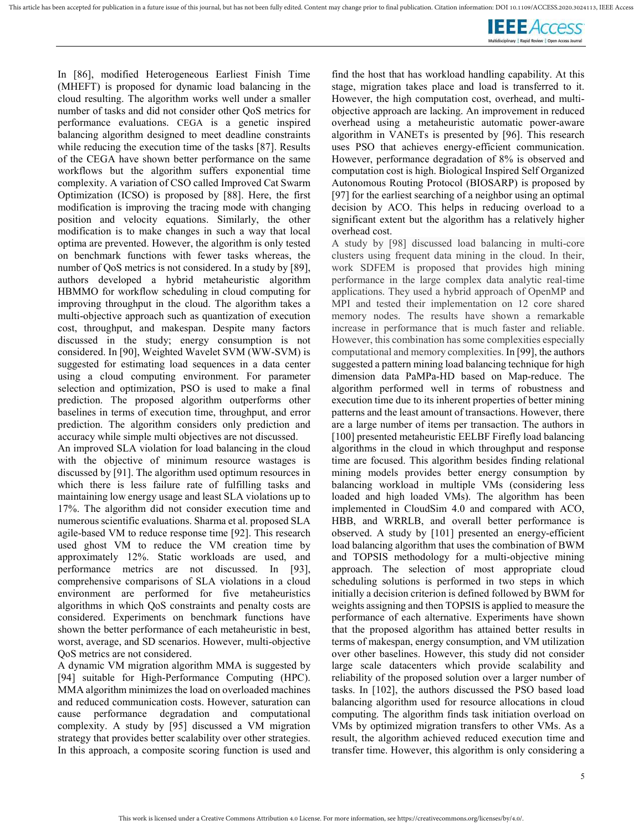

In [86], modified Heterogeneous Earliest Finish Time (MHEFT) is proposed for dynamic load balancing in the cloud resulting. The algorithm works well under a smaller number of tasks and did not consider other QoS metrics for performance evaluations. CEGA is a genetic inspired balancing algorithm designed to meet deadline constraints while reducing the execution time of the tasks [87]. Results of the CEGA have shown better performance on the same workflows but the algorithm suffers exponential time complexity. A variation of CSO called Improved Cat Swarm Optimization (ICSO) is proposed by [88]. Here, the first modification is improving the tracing mode with changing position and velocity equations. Similarly, the other modification is to make changes in such a way that local optima are prevented. However, the algorithm is only tested on benchmark functions with fewer tasks whereas, the number of QoS metrics is not considered. In a study by [89], authors developed a hybrid metaheuristic algorithm HBMMO for workflow scheduling in cloud computing for improving throughput in the cloud. The algorithm takes a multi-objective approach such as quantization of execution cost, throughput, and makespan. Despite many factors discussed in the study; energy consumption is not considered. In [90], Weighted Wavelet SVM (WW-SVM) is suggested for estimating load sequences in a data center using a cloud computing environment. For parameter selection and optimization, PSO is used to make a final prediction. The proposed algorithm outperforms other baselines in terms of execution time, throughput, and error prediction. The algorithm considers only prediction and accuracy while simple multi objectives are not discussed.

An improved SLA violation for load balancing in the cloud with the objective of minimum resource wastages is discussed by [91]. The algorithm used optimum resources in which there is less failure rate of fulfilling tasks and maintaining low energy usage and least SLA violations up to 17%. The algorithm did not consider execution time and numerous scientific evaluations. Sharma et al. proposed SLA agile-based VM to reduce response time [92]. This research used ghost VM to reduce the VM creation time by approximately 12%. Static workloads are used, and performance metrics are not discussed. In [93], comprehensive comparisons of SLA violations in a cloud environment are performed for five metaheuristics algorithms in which QoS constraints and penalty costs are considered. Experiments on benchmark functions have shown the better performance of each metaheuristic in best, worst, average, and SD scenarios. However, multi-objective QoS metrics are not considered.

A dynamic VM migration algorithm MMA is suggested by [94] suitable for High-Performance Computing (HPC). MMA algorithm minimizes the load on overloaded machines and reduced communication costs. However, saturation can cause performance degradation and computational complexity. A study by [95] discussed a VM migration strategy that provides better scalability over other strategies. In this approach, a composite scoring function is used and

find the host that has workload handling capability. At this stage, migration takes place and load is transferred to it. However, the high computation cost, overhead, and multiobjective approach are lacking. An improvement in reduced overhead using a metaheuristic automatic power-aware algorithm in VANETs is presented by [96]. This research uses PSO that achieves energy-efficient communication. However, performance degradation of 8% is observed and computation cost is high. Biological Inspired Self Organized Autonomous Routing Protocol (BIOSARP) is proposed by [97] for the earliest searching of a neighbor using an optimal decision by ACO. This helps in reducing overload to a significant extent but the algorithm has a relatively higher overhead cost.

A study by [98] discussed load balancing in multi-core clusters using frequent data mining in the cloud. In their, work SDFEM is proposed that provides high mining performance in the large complex data analytic real-time applications. They used a hybrid approach of OpenMP and MPI and tested their implementation on 12 core shared memory nodes. The results have shown a remarkable increase in performance that is much faster and reliable. However, this combination has some complexities especially computational and memory complexities. In [99], the authors suggested a pattern mining load balancing technique for high dimension data PaMPa-HD based on Map-reduce. The algorithm performed well in terms of robustness and execution time due to its inherent properties of better mining patterns and the least amount of transactions. However, there are a large number of items per transaction. The authors in [100] presented metaheuristic EELBF Firefly load balancing algorithms in the cloud in which throughput and response time are focused. This algorithm besides finding relational mining models provides better energy consumption by balancing workload in multiple VMs (considering less loaded and high loaded VMs). The algorithm has been implemented in CloudSim 4.0 and compared with ACO, HBB, and WRRLB, and overall better performance is observed. A study by [101] presented an energy-efficient load balancing algorithm that uses the combination of BWM and TOPSIS methodology for a multi-objective mining approach. The selection of most appropriate cloud scheduling solutions is performed in two steps in which initially a decision criterion is defined followed by BWM for weights assigning and then TOPSIS is applied to measure the performance of each alternative. Experiments have shown that the proposed algorithm has attained better results in terms of makespan, energy consumption, and VM utilization over other baselines. However, this study did not consider large scale datacenters which provide scalability and reliability of the proposed solution over a larger number of tasks. In [102], the authors discussed the PSO based load balancing algorithm used for resource allocations in cloud computing. The algorithm finds task initiation overload on VMs by optimized migration transfers to other VMs. As a result, the algorithm achieved reduced execution time and transfer time. However, this algorithm is only considering a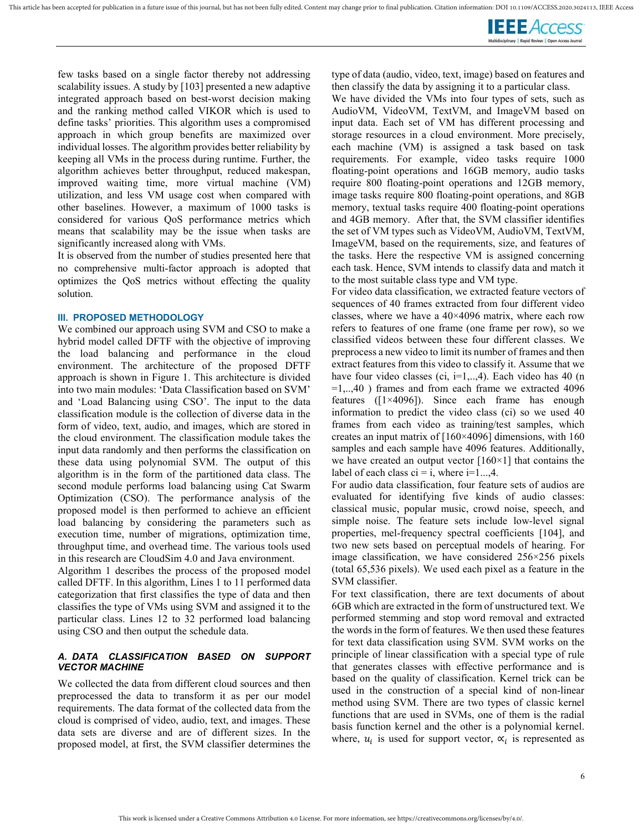

few tasks based on a single factor thereby not addressing scalability issues. A study by [103] presented a new adaptive integrated approach based on best-worst decision making and the ranking method called VIKOR which is used to define tasks' priorities. This algorithm uses a compromised approach in which group benefits are maximized over individual losses. The algorithm provides better reliability by keeping all VMs in the process during runtime. Further, the algorithm achieves better throughput, reduced makespan, improved waiting time, more virtual machine (VM) utilization, and less VM usage cost when compared with other baselines. However, a maximum of 1000 tasks is considered for various QoS performance metrics which means that scalability may be the issue when tasks are significantly increased along with VMs.

It is observed from the number of studies presented here that no comprehensive multi-factor approach is adopted that optimizes the QoS metrics without effecting the quality solution.

### III. PROPOSED METHODOLOGY

We combined our approach using SVM and CSO to make a hybrid model called DFTF with the objective of improving the load balancing and performance in the cloud environment. The architecture of the proposed DFTF approach is shown in Figure 1. This architecture is divided into two main modules: 'Data Classification based on SVM' and 'Load Balancing using CSO'. The input to the data classification module is the collection of diverse data in the form of video, text, audio, and images, which are stored in the cloud environment. The classification module takes the input data randomly and then performs the classification on these data using polynomial SVM. The output of this algorithm is in the form of the partitioned data class. The second module performs load balancing using Cat Swarm Optimization (CSO). The performance analysis of the proposed model is then performed to achieve an efficient load balancing by considering the parameters such as execution time, number of migrations, optimization time, throughput time, and overhead time. The various tools used in this research are CloudSim 4.0 and Java environment.

Algorithm 1 describes the process of the proposed model called DFTF. In this algorithm, Lines 1 to 11 performed data categorization that first classifies the type of data and then classifies the type of VMs using SVM and assigned it to the particular class. Lines 12 to 32 performed load balancing using CSO and then output the schedule data.

### A. DATA CLASSIFICATION BASED ON SUPPORT VECTOR MACHINE

We collected the data from different cloud sources and then preprocessed the data to transform it as per our model requirements. The data format of the collected data from the cloud is comprised of video, audio, text, and images. These data sets are diverse and are of different sizes. In the proposed model, at first, the SVM classifier determines the type of data (audio, video, text, image) based on features and then classify the data by assigning it to a particular class.

We have divided the VMs into four types of sets, such as AudioVM, VideoVM, TextVM, and ImageVM based on input data. Each set of VM has different processing and storage resources in a cloud environment. More precisely, each machine (VM) is assigned a task based on task requirements. For example, video tasks require 1000 floating-point operations and 16GB memory, audio tasks require 800 floating-point operations and 12GB memory, image tasks require 800 floating-point operations, and 8GB memory, textual tasks require 400 floating-point operations and 4GB memory. After that, the SVM classifier identifies the set of VM types such as VideoVM, AudioVM, TextVM, ImageVM, based on the requirements, size, and features of the tasks. Here the respective VM is assigned concerning each task. Hence, SVM intends to classify data and match it to the most suitable class type and VM type.

For video data classification, we extracted feature vectors of sequences of 40 frames extracted from four different video classes, where we have a  $40\times4096$  matrix, where each row refers to features of one frame (one frame per row), so we classified videos between these four different classes. We preprocess a new video to limit its number of frames and then extract features from this video to classify it. Assume that we have four video classes (ci,  $i=1,..,4$ ). Each video has 40 (n  $=1...40$ ) frames and from each frame we extracted 4096 features ([1×4096]). Since each frame has enough information to predict the video class (ci) so we used 40 frames from each video as training/test samples, which creates an input matrix of [160×4096] dimensions, with 160 samples and each sample have 4096 features. Additionally, we have created an output vector  $[160\times1]$  that contains the label of each class  $ci = i$ , where  $i=1...,4$ .

For audio data classification, four feature sets of audios are evaluated for identifying five kinds of audio classes: classical music, popular music, crowd noise, speech, and simple noise. The feature sets include low-level signal properties, mel-frequency spectral coefficients [104], and two new sets based on perceptual models of hearing. For image classification, we have considered 256×256 pixels (total 65,536 pixels). We used each pixel as a feature in the SVM classifier.

For text classification, there are text documents of about 6GB which are extracted in the form of unstructured text. We performed stemming and stop word removal and extracted the words in the form of features. We then used these features for text data classification using SVM. SVM works on the principle of linear classification with a special type of rule that generates classes with effective performance and is based on the quality of classification. Kernel trick can be used in the construction of a special kind of non-linear method using SVM. There are two types of classic kernel functions that are used in SVMs, one of them is the radial basis function kernel and the other is a polynomial kernel. where,  $u_i$  is used for support vector,  $\alpha_i$  is represented as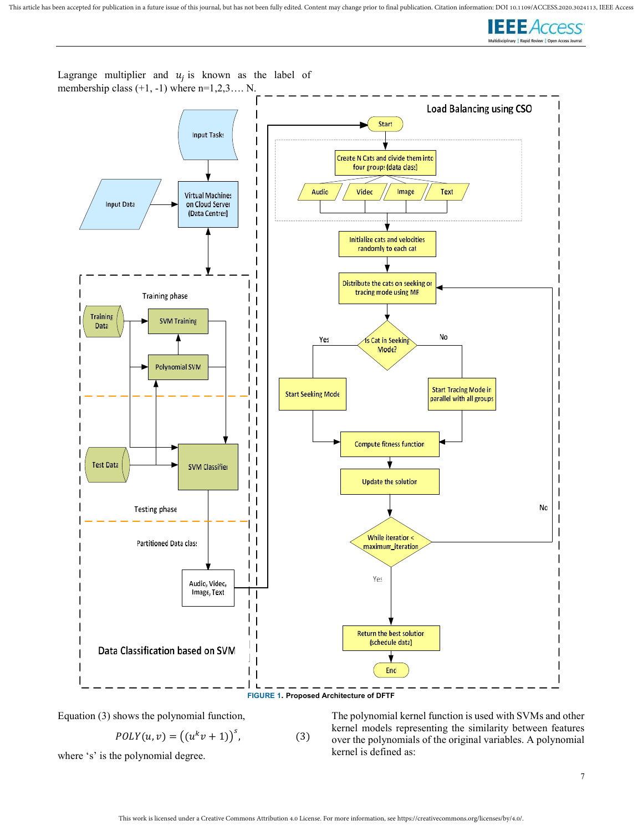



Lagrange multiplier and  $u_j$  is known as the label of

Equation (3) shows the polynomial function,

$$
POLY(u, v) = ((uk v + 1))s, \t(3)
$$

where 's' is the polynomial degree.

The polynomial kernel function is used with SVMs and other kernel models representing the similarity between features over the polynomials of the original variables. A polynomial kernel is defined as: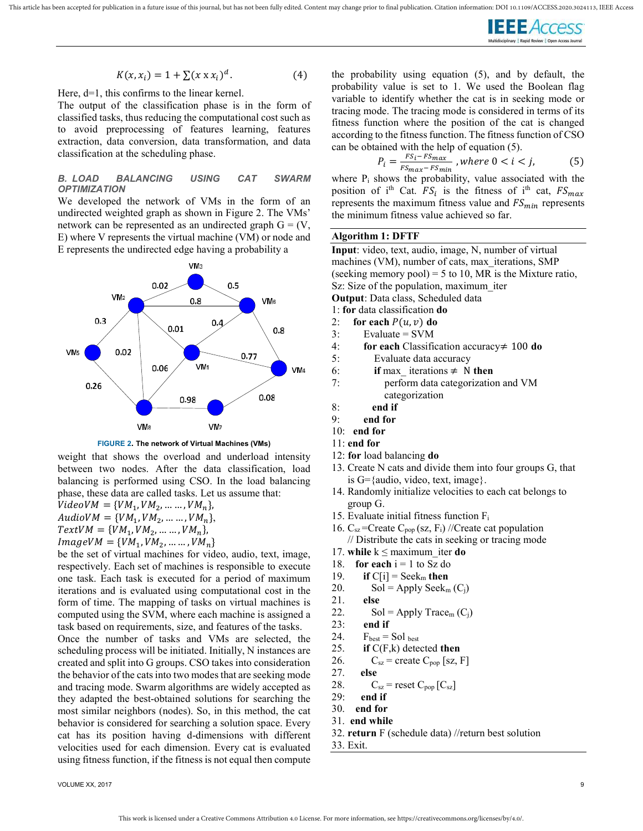

$$
K(x, x_i) = 1 + \sum (x \times x_i)^d. \tag{4}
$$

Here, d=1, this confirms to the linear kernel.

The output of the classification phase is in the form of classified tasks, thus reducing the computational cost such as to avoid preprocessing of features learning, features extraction, data conversion, data transformation, and data classification at the scheduling phase.

### B. LOAD BALANCING USING CAT SWARM **OPTIMIZATION**

We developed the network of VMs in the form of an undirected weighted graph as shown in Figure 2. The VMs' network can be represented as an undirected graph  $G = (V,$ E) where V represents the virtual machine (VM) or node and E represents the undirected edge having a probability a





weight that shows the overload and underload intensity between two nodes. After the data classification, load balancing is performed using CSO. In the load balancing phase, these data are called tasks. Let us assume that:

 $VideoVM = \{VM_1, VM_2, ..., UN_n\},\$  $AudioVM = \{VM_1, VM_2, \ldots \ldots, VM_n\},\$ 

$$
TertVM = \{VM, VM, \qquad VM \}
$$

 $TextVM = \{VM_1, VM_2, \dots, VM_n\},\$ 

 $ImageVM = \{VM_1, VM_2, \ldots, VM_n\}$ be the set of virtual machines for video, audio, text, image,

respectively. Each set of machines is responsible to execute one task. Each task is executed for a period of maximum iterations and is evaluated using computational cost in the form of time. The mapping of tasks on virtual machines is computed using the SVM, where each machine is assigned a task based on requirements, size, and features of the tasks. Once the number of tasks and VMs are selected, the

scheduling process will be initiated. Initially, N instances are created and split into G groups. CSO takes into consideration the behavior of the cats into two modes that are seeking mode and tracing mode. Swarm algorithms are widely accepted as they adapted the best-obtained solutions for searching the most similar neighbors (nodes). So, in this method, the cat behavior is considered for searching a solution space. Every cat has its position having d-dimensions with different velocities used for each dimension. Every cat is evaluated using fitness function, if the fitness is not equal then compute

the probability using equation (5), and by default, the probability value is set to 1. We used the Boolean flag variable to identify whether the cat is in seeking mode or tracing mode. The tracing mode is considered in terms of its fitness function where the position of the cat is changed according to the fitness function. The fitness function of CSO can be obtained with the help of equation (5).

$$
P_i = \frac{FS_i - FS_{max}}{FS_{max} - FS_{min}}, where 0 < i < j,\tag{5}
$$

where  $P_i$  shows the probability, value associated with the position of i<sup>th</sup> Cat.  $FS_i$  is the fitness of i<sup>th</sup> cat,  $FS_{max}$ represents the maximum fitness value and  $FS_{min}$  represents the minimum fitness value achieved so far.

### Algorithm 1: DFTF

| Input: video, text, audio, image, N, number of virtual    |
|-----------------------------------------------------------|
| machines (VM), number of cats, max iterations, SMP        |
| (seeking memory pool) = 5 to 10, MR is the Mixture ratio, |
| Sz: Size of the population, maximum iter                  |
| <b>Output</b> : Data class, Scheduled data                |
| 1: for data classification do                             |
| 2: for each $P(u, v)$ do                                  |
| Evaluate $=$ SVM<br>3:                                    |
| 4:<br>for each Classification accuracy $\neq$ 100 do      |
| $\zeta$ .<br>$E_{\text{v}o}$ luoto doto ogguraav          |

- 5: Evaluate data accuracy
- 6: if max\_iterations  $\neq$  N then<br>7: perform data categorization perform data categorization and VM
- categorization
- 8: end if
- $9.$  end for
- 10: end for
- 11: end for
- 12: for load balancing do
- 13. Create N cats and divide them into four groups G, that is  $G = \{audio, video, text, image\}.$
- 14. Randomly initialize velocities to each cat belongs to group G.
- 15. Evaluate initial fitness function F<sup>i</sup>
- 16.  $C_{sz}$ =Create  $C_{pop}$  (sz,  $F_i$ ) //Create cat population // Distribute the cats in seeking or tracing mode
- 17. while  $k \leq$  maximum iter do
- 18. **for each**  $i = 1$  to Sz do
- 19. if  $C[i]$  = Seek<sub>m</sub> then
- 20. Sol = Apply Seek<sub>m</sub>  $(C_i)$
- 21. else
- 22. Sol = Apply Trace<sub>m</sub>  $(C_i)$
- 23: end if
- 24.  $F_{best} = Sol_{best}$
- 25. if  $C(F,k)$  detected then

$$
C_{sz} = \text{create } C_{pop} \text{ [sz, F]}
$$

$$
27. \qquad \textbf{else}
$$

- 28.  $C_{sz}$  = reset  $C_{pop}$  [ $C_{sz}$ ]
- 29: end if
- 30. end for
- 31. end while
- 32. return F (schedule data) //return best solution
- 33. Exit.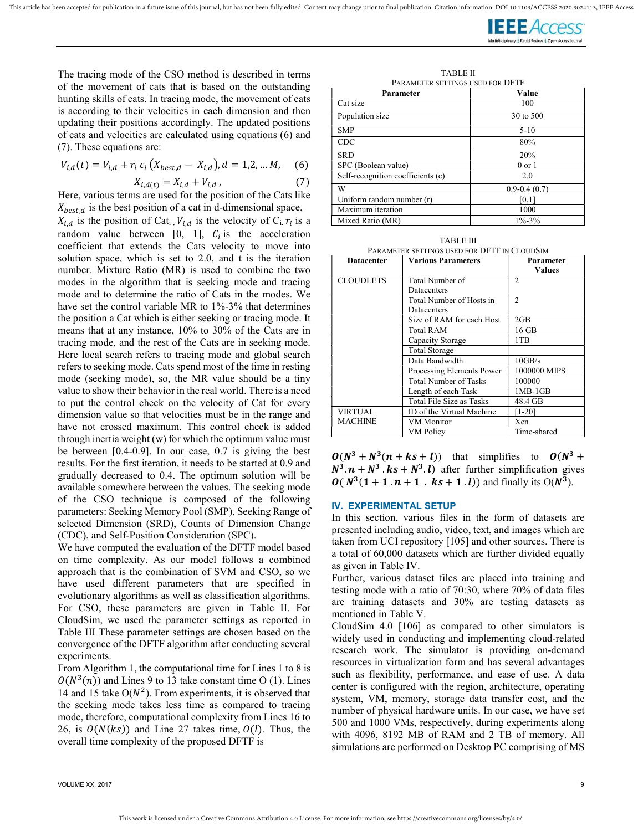This article has been accepted for publication in a future issue of this journal, but has not been fully edited. Content may change prior to final publication. Citation information: DOI 10.1109/ACCESS.2020.3024113, IEEE Ac



The tracing mode of the CSO method is described in terms of the movement of cats that is based on the outstanding hunting skills of cats. In tracing mode, the movement of cats is according to their velocities in each dimension and then updating their positions accordingly. The updated positions of cats and velocities are calculated using equations (6) and (7). These equations are:

$$
V_{i,d}(t) = V_{i,d} + r_i c_i (X_{best,d} - X_{i,d}), d = 1,2,...M, (6)
$$

$$
X_{i,d(t)} = X_{i,d} + V_{i,d} \t\t(7)
$$

Here, various terms are used for the position of the Cats like  $X_{best,d}$  is the best position of a cat in d-dimensional space,

 $X_{i,d}$  is the position of Cat<sub>i</sub>,  $V_{i,d}$  is the velocity of C<sub>i.</sub>  $r_i$  is a random value between [0, 1],  $C_i$  is the acceleration coefficient that extends the Cats velocity to move into solution space, which is set to 2.0, and t is the iteration number. Mixture Ratio (MR) is used to combine the two modes in the algorithm that is seeking mode and tracing mode and to determine the ratio of Cats in the modes. We have set the control variable MR to 1%-3% that determines the position a Cat which is either seeking or tracing mode. It means that at any instance, 10% to 30% of the Cats are in tracing mode, and the rest of the Cats are in seeking mode. Here local search refers to tracing mode and global search refers to seeking mode. Cats spend most of the time in resting mode (seeking mode), so, the MR value should be a tiny value to show their behavior in the real world. There is a need to put the control check on the velocity of Cat for every dimension value so that velocities must be in the range and have not crossed maximum. This control check is added through inertia weight (w) for which the optimum value must be between [0.4-0.9]. In our case, 0.7 is giving the best results. For the first iteration, it needs to be started at 0.9 and gradually decreased to 0.4. The optimum solution will be available somewhere between the values. The seeking mode of the CSO technique is composed of the following parameters: Seeking Memory Pool (SMP), Seeking Range of selected Dimension (SRD), Counts of Dimension Change (CDC), and Self-Position Consideration (SPC).

We have computed the evaluation of the DFTF model based on time complexity. As our model follows a combined approach that is the combination of SVM and CSO, so we have used different parameters that are specified in evolutionary algorithms as well as classification algorithms. For CSO, these parameters are given in Table II. For CloudSim, we used the parameter settings as reported in Table III These parameter settings are chosen based on the convergence of the DFTF algorithm after conducting several experiments.

From Algorithm 1, the computational time for Lines 1 to 8 is  $O(N^3(n))$  and Lines 9 to 13 take constant time O (1). Lines 14 and 15 take  $O(N^2)$ . From experiments, it is observed that the seeking mode takes less time as compared to tracing mode, therefore, computational complexity from Lines 16 to 26, is  $O(N(ks))$  and Line 27 takes time,  $O(l)$ . Thus, the overall time complexity of the proposed DFTF is

TABLE II PARAMETER SETTINGS USED FOR DFTF

| Parameter                         | Value            |
|-----------------------------------|------------------|
| Cat size                          | 100              |
| Population size                   | 30 to 500        |
| <b>SMP</b>                        | $5 - 10$         |
| CDC                               | 80%              |
| <b>SRD</b>                        | 20%              |
| SPC (Boolean value)               | $0$ or $1$       |
| Self-recognition coefficients (c) | 2.0              |
| W                                 | $0.9 - 0.4(0.7)$ |
| Uniform random number (r)         | [0,1]            |
| Maximum iteration                 | 1000             |
| Mixed Ratio (MR)                  | $1\% - 3\%$      |

| <b>TABLE III</b>                             |
|----------------------------------------------|
| Parameter settings used for DFTF in CloudSim |

| <b>Datacenter</b> | <b>Various Parameters</b>    | Parameter<br><b>Values</b>  |
|-------------------|------------------------------|-----------------------------|
| <b>CLOUDLETS</b>  | Total Number of              | $\mathcal{D}_{\mathcal{L}}$ |
|                   | Datacenters                  |                             |
|                   | Total Number of Hosts in     | $\mathcal{D}$               |
|                   | Datacenters                  |                             |
|                   | Size of RAM for each Host    | 2GB                         |
|                   | Total RAM                    | 16 GB                       |
|                   | Capacity Storage             | 1TB                         |
|                   | <b>Total Storage</b>         |                             |
|                   | Data Bandwidth               | 10GB/s                      |
|                   | Processing Elements Power    | 1000000 MIPS                |
|                   | <b>Total Number of Tasks</b> | 100000                      |
|                   | Length of each Task          | 1MB-1GB                     |
|                   | Total File Size as Tasks     | 48.4 GB                     |
| <b>VIRTUAL</b>    | ID of the Virtual Machine    | [1-20]                      |
| <b>MACHINE</b>    | VM Monitor                   | Xen                         |
|                   | VM Policy                    | Time-shared                 |

 $O(N^3 + N^3(n + ks + l))$  that simplifies to  $O(N^3 +$  $N^3 \cdot n + N^3 \cdot ks + N^3 \cdot l$  after further simplification gives  $O(N^3(1 + 1 \cdot n + 1 \cdot ks + 1 \cdot l))$  and finally its  $O(N^3)$ .

### IV. EXPERIMENTAL SETUP

In this section, various files in the form of datasets are presented including audio, video, text, and images which are taken from UCI repository [105] and other sources. There is a total of 60,000 datasets which are further divided equally as given in Table IV.

Further, various dataset files are placed into training and testing mode with a ratio of 70:30, where 70% of data files are training datasets and 30% are testing datasets as mentioned in Table V.

CloudSim 4.0 [106] as compared to other simulators is widely used in conducting and implementing cloud-related research work. The simulator is providing on-demand resources in virtualization form and has several advantages such as flexibility, performance, and ease of use. A data center is configured with the region, architecture, operating system, VM, memory, storage data transfer cost, and the number of physical hardware units. In our case, we have set 500 and 1000 VMs, respectively, during experiments along with 4096, 8192 MB of RAM and 2 TB of memory. All simulations are performed on Desktop PC comprising of MS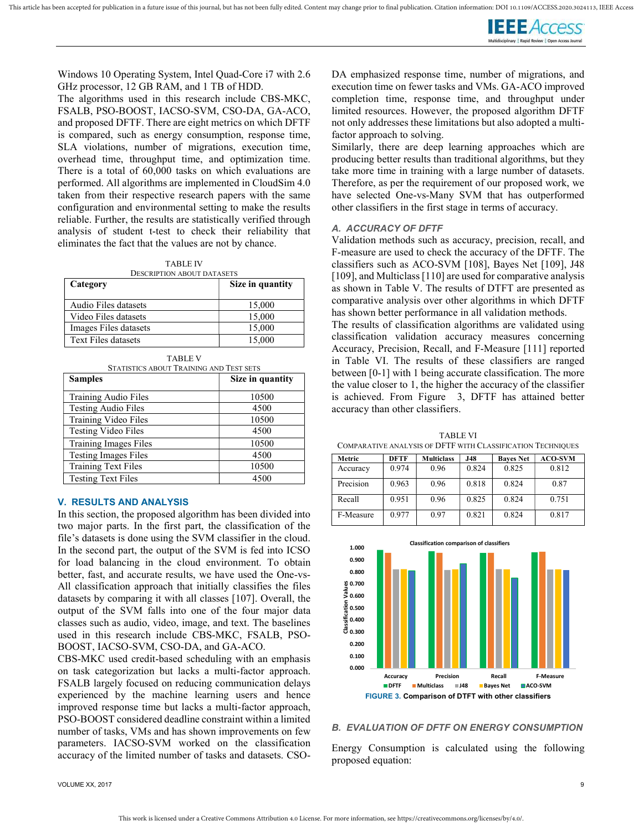

Windows 10 Operating System, Intel Quad-Core i7 with 2.6 GHz processor, 12 GB RAM, and 1 TB of HDD.

The algorithms used in this research include CBS-MKC, FSALB, PSO-BOOST, IACSO-SVM, CSO-DA, GA-ACO, and proposed DFTF. There are eight metrics on which DFTF is compared, such as energy consumption, response time, SLA violations, number of migrations, execution time, overhead time, throughput time, and optimization time. There is a total of 60,000 tasks on which evaluations are performed. All algorithms are implemented in CloudSim 4.0 taken from their respective research papers with the same configuration and environmental setting to make the results reliable. Further, the results are statistically verified through analysis of student t-test to check their reliability that eliminates the fact that the values are not by chance.

TABLE IV DESCRIPTION ABOUT DATASETS

| Category              | Size in quantity |
|-----------------------|------------------|
| Audio Files datasets  | 15,000           |
| Video Files datasets  | 15,000           |
| Images Files datasets | 15,000           |
| Text Files datasets   | 15,000           |

|  | `ABLE` |  |
|--|--------|--|
|--|--------|--|

| STATISTICS ABOUT TRAINING AND TEST SETS |                  |  |  |  |  |
|-----------------------------------------|------------------|--|--|--|--|
| <b>Samples</b>                          | Size in quantity |  |  |  |  |
| Training Audio Files                    | 10500            |  |  |  |  |
| <b>Testing Audio Files</b>              | 4500             |  |  |  |  |
| Training Video Files                    | 10500            |  |  |  |  |
| <b>Testing Video Files</b>              | 4500             |  |  |  |  |
| Training Images Files                   | 10500            |  |  |  |  |
| <b>Testing Images Files</b>             | 4500             |  |  |  |  |
| <b>Training Text Files</b>              | 10500            |  |  |  |  |
| <b>Testing Text Files</b>               | 4500             |  |  |  |  |

### V. RESULTS AND ANALYSIS

In this section, the proposed algorithm has been divided into two major parts. In the first part, the classification of the file's datasets is done using the SVM classifier in the cloud. In the second part, the output of the SVM is fed into ICSO for load balancing in the cloud environment. To obtain better, fast, and accurate results, we have used the One-vs-All classification approach that initially classifies the files datasets by comparing it with all classes [107]. Overall, the output of the SVM falls into one of the four major data classes such as audio, video, image, and text. The baselines used in this research include CBS-MKC, FSALB, PSO-BOOST, IACSO-SVM, CSO-DA, and GA-ACO.

CBS-MKC used credit-based scheduling with an emphasis on task categorization but lacks a multi-factor approach. FSALB largely focused on reducing communication delays experienced by the machine learning users and hence improved response time but lacks a multi-factor approach, PSO-BOOST considered deadline constraint within a limited number of tasks, VMs and has shown improvements on few parameters. IACSO-SVM worked on the classification accuracy of the limited number of tasks and datasets. CSO-

DA emphasized response time, number of migrations, and execution time on fewer tasks and VMs. GA-ACO improved completion time, response time, and throughput under limited resources. However, the proposed algorithm DFTF not only addresses these limitations but also adopted a multifactor approach to solving.

Similarly, there are deep learning approaches which are producing better results than traditional algorithms, but they take more time in training with a large number of datasets. Therefore, as per the requirement of our proposed work, we have selected One-vs-Many SVM that has outperformed other classifiers in the first stage in terms of accuracy.

### A. ACCURACY OF DFTF

Validation methods such as accuracy, precision, recall, and F-measure are used to check the accuracy of the DFTF. The classifiers such as ACO-SVM [108], Bayes Net [109], J48 [109], and Multiclass [110] are used for comparative analysis as shown in Table V. The results of DTFT are presented as comparative analysis over other algorithms in which DFTF has shown better performance in all validation methods.

The results of classification algorithms are validated using classification validation accuracy measures concerning Accuracy, Precision, Recall, and F-Measure [111] reported in Table VI. The results of these classifiers are ranged between [0-1] with 1 being accurate classification. The more the value closer to 1, the higher the accuracy of the classifier is achieved. From Figure 3, DFTF has attained better accuracy than other classifiers.

TABLE VI COMPARATIVE ANALYSIS OF DFTF WITH CLASSIFICATION TECHNIQUES

| Metric    | <b>DFTF</b> | <b>Multiclass</b> | <b>J48</b> | <b>Baves Net</b> | <b>ACO-SVM</b> |
|-----------|-------------|-------------------|------------|------------------|----------------|
| Accuracy  | 0.974       | 0.96              | 0.824      | 0.825            | 0.812          |
| Precision | 0.963       | 0.96              | 0.818      | 0.824            | 0.87           |
| Recall    | 0.951       | 0.96              | 0.825      | 0.824            | 0.751          |
| F-Measure | 0.977       | 0.97              | 0.821      | 0.824            | 0.817          |



### B. EVALUATION OF DFTF ON ENERGY CONSUMPTION

Energy Consumption is calculated using the following proposed equation: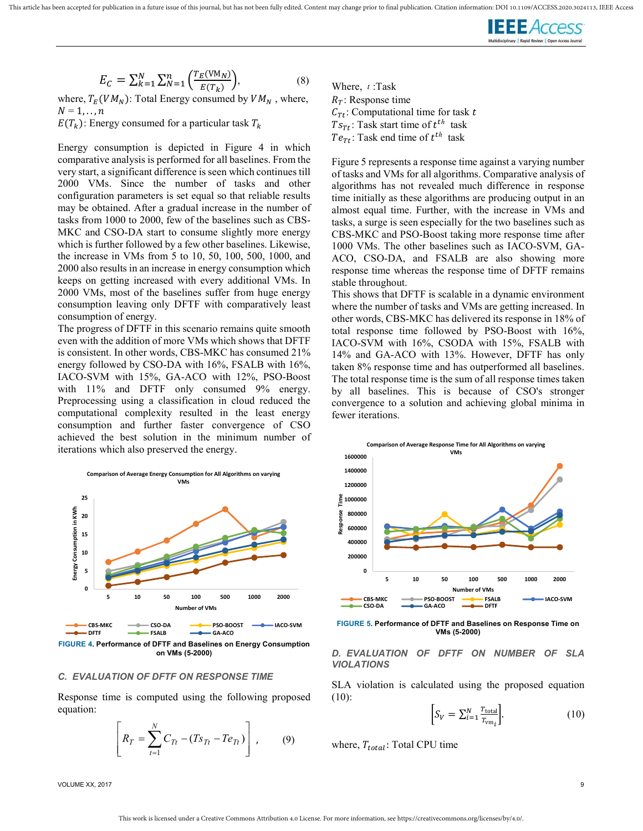

$$
E_C = \sum_{k=1}^{N} \sum_{N=1}^{n} \left( \frac{T_E(\text{VM}_N)}{E(T_k)} \right),\tag{8}
$$

where,  $T_E(VM_N)$ : Total Energy consumed by  $VM_N$ , where,  $N = 1, \ldots, n$ 

 $E(T_k)$ : Energy consumed for a particular task  $T_k$ 

Energy consumption is depicted in Figure 4 in which comparative analysis is performed for all baselines. From the very start, a significant difference is seen which continues till 2000 VMs. Since the number of tasks and other configuration parameters is set equal so that reliable results may be obtained. After a gradual increase in the number of tasks from 1000 to 2000, few of the baselines such as CBS-MKC and CSO-DA start to consume slightly more energy which is further followed by a few other baselines. Likewise, the increase in VMs from 5 to 10, 50, 100, 500, 1000, and 2000 also results in an increase in energy consumption which keeps on getting increased with every additional VMs. In 2000 VMs, most of the baselines suffer from huge energy consumption leaving only DFTF with comparatively least consumption of energy.

The progress of DFTF in this scenario remains quite smooth even with the addition of more VMs which shows that DFTF is consistent. In other words, CBS-MKC has consumed 21% energy followed by CSO-DA with 16%, FSALB with 16%, IACO-SVM with 15%, GA-ACO with 12%, PSO-Boost with 11% and DFTF only consumed 9% energy. Preprocessing using a classification in cloud reduced the computational complexity resulted in the least energy consumption and further faster convergence of CSO achieved the best solution in the minimum number of iterations which also preserved the energy.



FIGURE 4. Performance of DFTF and Baselines on Energy Consumption on VMs (5-2000)

### C. EVALUATION OF DFTF ON RESPONSE TIME

Response time is computed using the following proposed equation:

$$
\left[ R_T = \sum_{t=1}^{N} C_{Tt} - (Ts_{Tt} - Te_{Tt}) \right], \qquad (9)
$$

Where,  $t$ :Task  $R<sub>T</sub>$ : Response time  $C_{Tt}$ : Computational time for task t  $Ts_{Tt}$ : Task start time of  $t^{th}$  task  $Te_{Tt}$ : Task end time of  $t^{th}$  task

Figure 5 represents a response time against a varying number of tasks and VMs for all algorithms. Comparative analysis of algorithms has not revealed much difference in response time initially as these algorithms are producing output in an almost equal time. Further, with the increase in VMs and tasks, a surge is seen especially for the two baselines such as CBS-MKC and PSO-Boost taking more response time after 1000 VMs. The other baselines such as IACO-SVM, GA-ACO, CSO-DA, and FSALB are also showing more response time whereas the response time of DFTF remains stable throughout.

This shows that DFTF is scalable in a dynamic environment where the number of tasks and VMs are getting increased. In other words, CBS-MKC has delivered its response in 18% of total response time followed by PSO-Boost with 16%, IACO-SVM with 16%, CSODA with 15%, FSALB with 14% and GA-ACO with 13%. However, DFTF has only taken 8% response time and has outperformed all baselines. The total response time is the sum of all response times taken by all baselines. This is because of CSO's stronger convergence to a solution and achieving global minima in fewer iterations.



FIGURE 5. Performance of DFTF and Baselines on Response Time on VMs (5-2000)

### D. EVALUATION OF DFTF ON NUMBER OF SLA VIOLATIONS

SLA violation is calculated using the proposed equation (10):

$$
\[S_V = \sum_{i=1}^{N} \frac{T_{\text{total}}}{T_{\text{vm}_i}}\].
$$
\n(10)

where,  $T_{total}$ : Total CPU time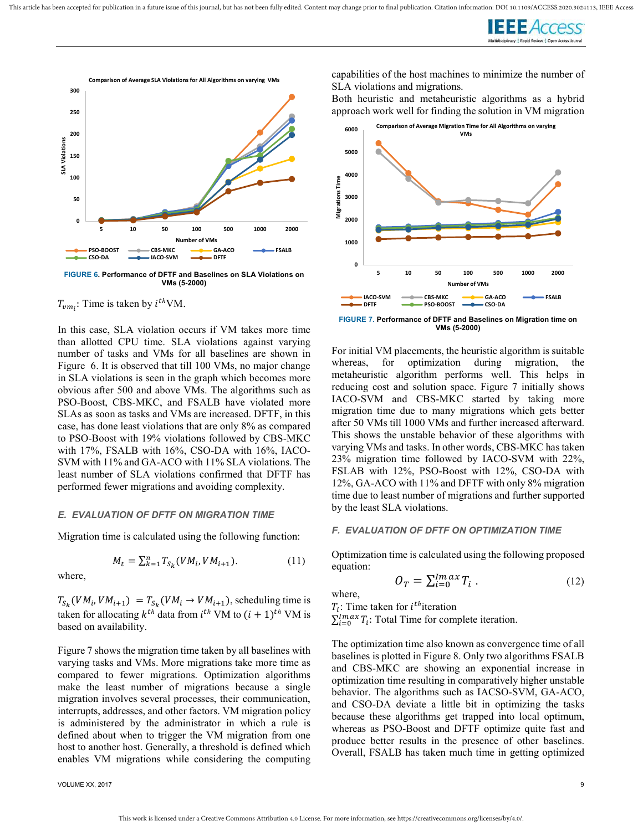



FIGURE 6. Performance of DFTF and Baselines on SLA Violations on VMs (5-2000)

# $T_{vm_i}$ : Time is taken by  $i^{th}$ VM.

In this case, SLA violation occurs if VM takes more time than allotted CPU time. SLA violations against varying number of tasks and VMs for all baselines are shown in Figure 6. It is observed that till 100 VMs, no major change in SLA violations is seen in the graph which becomes more obvious after 500 and above VMs. The algorithms such as PSO-Boost, CBS-MKC, and FSALB have violated more SLAs as soon as tasks and VMs are increased. DFTF, in this case, has done least violations that are only 8% as compared to PSO-Boost with 19% violations followed by CBS-MKC with 17%, FSALB with 16%, CSO-DA with 16%, IACO-SVM with 11% and GA-ACO with 11% SLA violations. The least number of SLA violations confirmed that DFTF has performed fewer migrations and avoiding complexity.

### E. EVALUATION OF DFTF ON MIGRATION TIME

Migration time is calculated using the following function:

$$
M_t = \sum_{k=1}^n T_{S_k}(VM_i, VM_{i+1}).
$$
 (11)

where,

 $T_{S_k}(VM_i, VM_{i+1}) = T_{S_k}(VM_i \rightarrow VM_{i+1})$ , scheduling time is taken for allocating  $k^{th}$  data from  $i^{th}$  VM to  $(i + 1)^{th}$  VM is based on availability.

Figure 7 shows the migration time taken by all baselines with varying tasks and VMs. More migrations take more time as compared to fewer migrations. Optimization algorithms make the least number of migrations because a single migration involves several processes, their communication, interrupts, addresses, and other factors. VM migration policy is administered by the administrator in which a rule is defined about when to trigger the VM migration from one host to another host. Generally, a threshold is defined which enables VM migrations while considering the computing

VOLUME XX, 2017 9

capabilities of the host machines to minimize the number of SLA violations and migrations.

Both heuristic and metaheuristic algorithms as a hybrid approach work well for finding the solution in VM migration



FIGURE 7. Performance of DFTF and Baselines on Migration time on VMs (5-2000)

For initial VM placements, the heuristic algorithm is suitable whereas, for optimization during migration, the metaheuristic algorithm performs well. This helps in reducing cost and solution space. Figure 7 initially shows IACO-SVM and CBS-MKC started by taking more migration time due to many migrations which gets better after 50 VMs till 1000 VMs and further increased afterward. This shows the unstable behavior of these algorithms with varying VMs and tasks. In other words, CBS-MKC has taken 23% migration time followed by IACO-SVM with 22%, FSLAB with 12%, PSO-Boost with 12%, CSO-DA with 12%, GA-ACO with 11% and DFTF with only 8% migration time due to least number of migrations and further supported by the least SLA violations.

### F. EVALUATION OF DFTF ON OPTIMIZATION TIME

Optimization time is calculated using the following proposed equation:

$$
O_T = \sum_{i=0}^{Imax} T_i \tag{12}
$$

where,

 $T_i$ : Time taken for *i*<sup>th</sup>iteration  $\sum_{i=0}^{lm\alpha x} T_i$ : Total Time for complete iteration.

The optimization time also known as convergence time of all baselines is plotted in Figure 8. Only two algorithms FSALB and CBS-MKC are showing an exponential increase in optimization time resulting in comparatively higher unstable behavior. The algorithms such as IACSO-SVM, GA-ACO, and CSO-DA deviate a little bit in optimizing the tasks because these algorithms get trapped into local optimum, whereas as PSO-Boost and DFTF optimize quite fast and produce better results in the presence of other baselines. Overall, FSALB has taken much time in getting optimized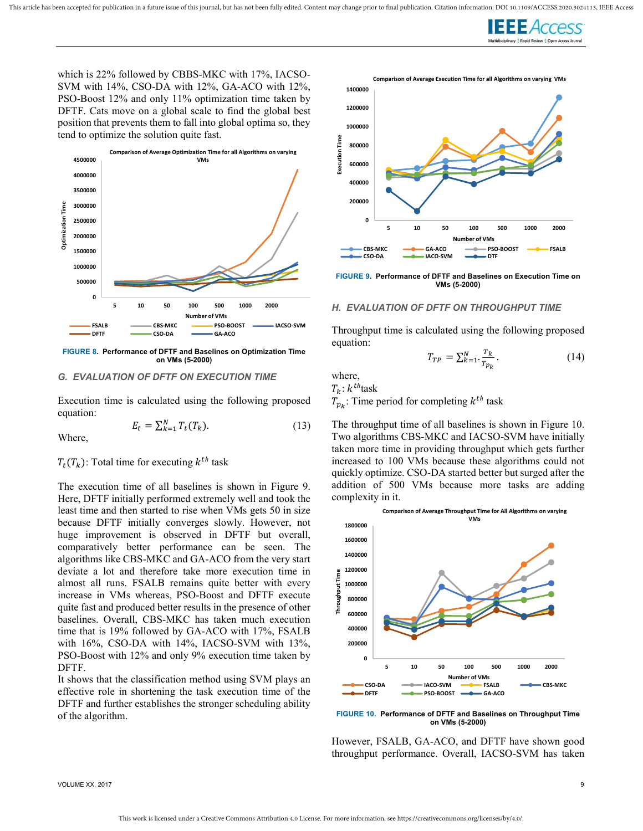

which is 22% followed by CBBS-MKC with 17%, IACSO-SVM with 14%, CSO-DA with 12%, GA-ACO with 12%, PSO-Boost 12% and only 11% optimization time taken by DFTF. Cats move on a global scale to find the global best position that prevents them to fall into global optima so, they tend to optimize the solution quite fast.



FIGURE 8. Performance of DFTF and Baselines on Optimization Time on VMs (5-2000)

### G. EVALUATION OF DFTF ON EXECUTION TIME

Execution time is calculated using the following proposed equation:

Where,

$$
E_t = \sum_{k=1}^{N} T_t(T_k). \tag{13}
$$

 $T_t(T_k)$ : Total time for executing  $k^{th}$  task

The execution time of all baselines is shown in Figure 9. Here, DFTF initially performed extremely well and took the least time and then started to rise when VMs gets 50 in size because DFTF initially converges slowly. However, not huge improvement is observed in DFTF but overall, comparatively better performance can be seen. The algorithms like CBS-MKC and GA-ACO from the very start deviate a lot and therefore take more execution time in almost all runs. FSALB remains quite better with every increase in VMs whereas, PSO-Boost and DFTF execute quite fast and produced better results in the presence of other baselines. Overall, CBS-MKC has taken much execution time that is 19% followed by GA-ACO with 17%, FSALB with 16%, CSO-DA with 14%, IACSO-SVM with 13%, PSO-Boost with 12% and only 9% execution time taken by DFTF.

It shows that the classification method using SVM plays an effective role in shortening the task execution time of the DFTF and further establishes the stronger scheduling ability of the algorithm.



FIGURE 9. Performance of DFTF and Baselines on Execution Time on VMs (5-2000)

### H. EVALUATION OF DFTF ON THROUGHPUT TIME

Throughput time is calculated using the following proposed equation:

$$
T_{TP} = \sum_{k=1}^{N} \frac{r_k}{r_{p_k}}.
$$
\n
$$
(14)
$$

where,

 $T_k$ :  $k^{th}$ task

 $T_{p_k}$ : Time period for completing  $k^{th}$  task

The throughput time of all baselines is shown in Figure 10. Two algorithms CBS-MKC and IACSO-SVM have initially taken more time in providing throughput which gets further increased to 100 VMs because these algorithms could not quickly optimize. CSO-DA started better but surged after the addition of 500 VMs because more tasks are adding complexity in it.



FIGURE 10. Performance of DFTF and Baselines on Throughput Time on VMs (5-2000)

However, FSALB, GA-ACO, and DFTF have shown good throughput performance. Overall, IACSO-SVM has taken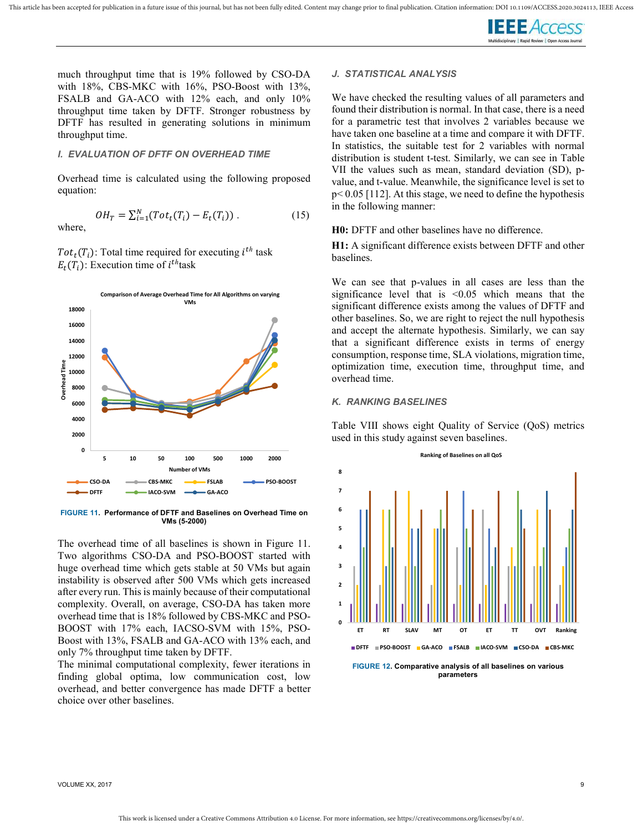

much throughput time that is 19% followed by CSO-DA with 18%, CBS-MKC with 16%, PSO-Boost with 13%, FSALB and GA-ACO with 12% each, and only 10% throughput time taken by DFTF. Stronger robustness by DFTF has resulted in generating solutions in minimum throughput time.

### I. EVALUATION OF DFTF ON OVERHEAD TIME

Overhead time is calculated using the following proposed equation:

$$
OH_T = \sum_{i=1}^{N} (Tot_t(T_i) - E_t(T_i)). \tag{15}
$$

Tot<sub>t</sub>(T<sub>i</sub>): Total time required for executing  $i^{th}$  task  $E_t(T_i)$ : Execution time of  $i^{th}$ task

where,



FIGURE 11. Performance of DFTF and Baselines on Overhead Time on VMs (5-2000)

The overhead time of all baselines is shown in Figure 11. Two algorithms CSO-DA and PSO-BOOST started with huge overhead time which gets stable at 50 VMs but again instability is observed after 500 VMs which gets increased after every run. This is mainly because of their computational complexity. Overall, on average, CSO-DA has taken more overhead time that is 18% followed by CBS-MKC and PSO-BOOST with 17% each, IACSO-SVM with 15%, PSO-Boost with 13%, FSALB and GA-ACO with 13% each, and only 7% throughput time taken by DFTF.

The minimal computational complexity, fewer iterations in finding global optima, low communication cost, low overhead, and better convergence has made DFTF a better choice over other baselines.

### J. STATISTICAL ANALYSIS

We have checked the resulting values of all parameters and found their distribution is normal. In that case, there is a need for a parametric test that involves 2 variables because we have taken one baseline at a time and compare it with DFTF. In statistics, the suitable test for 2 variables with normal distribution is student t-test. Similarly, we can see in Table VII the values such as mean, standard deviation (SD), pvalue, and t-value. Meanwhile, the significance level is set to p< 0.05 [112]. At this stage, we need to define the hypothesis in the following manner:

H0: DFTF and other baselines have no difference.

H1: A significant difference exists between DFTF and other baselines.

We can see that p-values in all cases are less than the significance level that is  $< 0.05$  which means that the significant difference exists among the values of DFTF and other baselines. So, we are right to reject the null hypothesis and accept the alternate hypothesis. Similarly, we can say that a significant difference exists in terms of energy consumption, response time, SLA violations, migration time, optimization time, execution time, throughput time, and overhead time.

### K. RANKING BASELINES

Table VIII shows eight Quality of Service (QoS) metrics used in this study against seven baselines.



parameters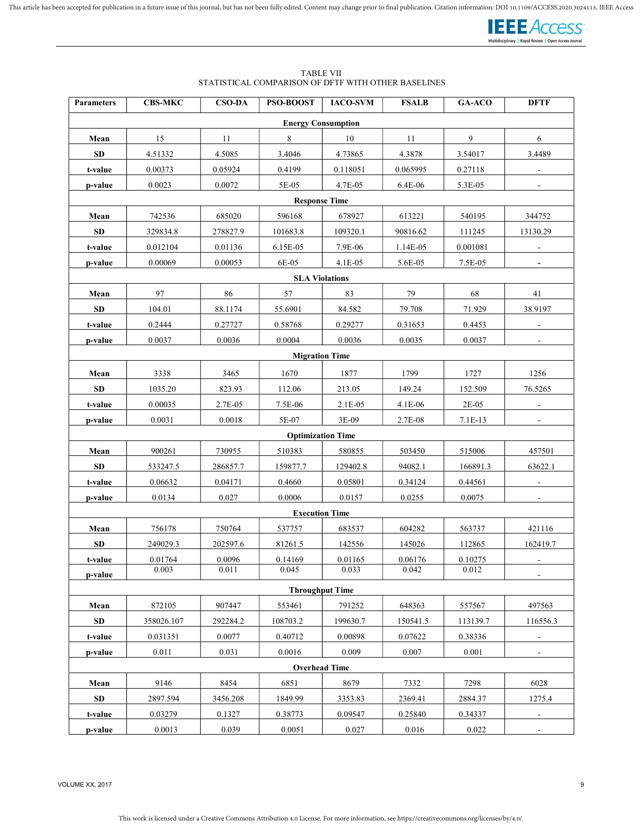

### TABLE VII STATISTICAL COMPARISON OF DFTF WITH OTHER BASELINES

| <b>Parameters</b>         | <b>CBS-MKC</b>       | <b>CSO-DA</b> | PSO-BOOST                | <b>IACO-SVM</b> | <b>FSALB</b> | GA-ACO         | <b>DFTF</b>              |  |  |
|---------------------------|----------------------|---------------|--------------------------|-----------------|--------------|----------------|--------------------------|--|--|
| <b>Energy Consumption</b> |                      |               |                          |                 |              |                |                          |  |  |
| Mean                      | 15                   | 11            | 8                        | 10              | 11           | $\overline{9}$ | $\sqrt{6}$               |  |  |
| <b>SD</b>                 | 4.51332              | 4.5085        | 3.4046                   | 4.73865         | 4.3878       | 3.54017        | 3.4489                   |  |  |
| t-value                   | 0.00373              | 0.05924       | 0.4199                   | 0.118051        | 0.065995     | 0.27118        |                          |  |  |
| p-value                   | 0.0023               | 0.0072        | 5E-05                    | 4.7E-05         | 6.4E-06      | 5.3E-05        |                          |  |  |
|                           | <b>Response Time</b> |               |                          |                 |              |                |                          |  |  |
| Mean                      | 742536               | 685020        | 596168                   | 678927          | 613221       | 540195         | 344752                   |  |  |
| SD                        | 329834.8             | 278827.9      | 101683.8                 | 109320.1        | 90816.62     | 111245         | 13130.29                 |  |  |
| t-value                   | 0.012104             | 0.01136       | 6.15E-05                 | 7.9E-06         | 1.14E-05     | 0.001081       |                          |  |  |
| p-value                   | 0.00069              | 0.00053       | 6E-05                    | 4.1E-05         | 5.6E-05      | 7.5E-05        | $\overline{\phantom{a}}$ |  |  |
|                           |                      |               | <b>SLA Violations</b>    |                 |              |                |                          |  |  |
| Mean                      | 97                   | 86            | 57                       | 83              | 79           | 68             | 41                       |  |  |
| <b>SD</b>                 | 104.01               | 88.1174       | 55.6901                  | 84.582          | 79.708       | 71.929         | 38.9197                  |  |  |
| t-value                   | 0.2444               | 0.27727       | 0.58768                  | 0.29277         | 0.31653      | 0.4453         | $\blacksquare$           |  |  |
| p-value                   | 0.0037               | 0.0036        | 0.0004                   | 0.0036          | 0.0035       | 0.0037         |                          |  |  |
|                           |                      |               | <b>Migration Time</b>    |                 |              |                |                          |  |  |
| Mean                      | 3338                 | 3465          | 1670                     | 1877            | 1799         | 1727           | 1256                     |  |  |
| SD                        | 1035.20              | 823.93        | 112.06                   | 213.05          | 149.24       | 152.509        | 76.5265                  |  |  |
| t-value                   | 0.00035              | 2.7E-05       | 7.5E-06                  | 2.1E-05         | 4.1E-06      | 2E-05          |                          |  |  |
| p-value                   | 0.0031               | 0.0018        | 5E-07                    | 3E-09           | 2.7E-08      | $7.1E-13$      | $\blacksquare$           |  |  |
|                           |                      |               | <b>Optimization Time</b> |                 |              |                |                          |  |  |
| Mean                      | 900261               | 730955        | 510383                   | 580855          | 503450       | 515006         | 457501                   |  |  |
| <b>SD</b>                 | 533247.5             | 286857.7      | 159877.7                 | 129402.8        | 94082.1      | 166891.3       | 63622.1                  |  |  |
| t-value                   | 0.06632              | 0.04171       | 0.4660                   | 0.05801         | 0.34124      | 0.44561        | $\overline{\phantom{a}}$ |  |  |
| p-value                   | 0.0134               | 0.027         | 0.0006                   | 0.0157          | 0.0255       | 0.0075         |                          |  |  |
|                           |                      |               | <b>Execution Time</b>    |                 |              |                |                          |  |  |
| Mean                      | 756178               | 750764        | 537757                   | 683537          | 604282       | 563737         | 421116                   |  |  |
| <b>SD</b>                 | 249029.3             | 202597.6      | 81261.5                  | 142556          | 145026       | 112865         | 162419.7                 |  |  |
| t-value                   | 0.01764              | 0.0096        | 0.14169                  | 0.01165         | 0.06176      | 0.10275        | $\overline{\phantom{a}}$ |  |  |
| p-value                   | 0.003                | 0.011         | 0.045                    | 0.033           | 0.042        | 0.012          |                          |  |  |
|                           |                      |               | <b>Throughput Time</b>   |                 |              |                |                          |  |  |
| Mean                      | 872105               | 907447        | 553461                   | 791252          | 648363       | 557567         | 497563                   |  |  |
| <b>SD</b>                 | 358026.107           | 292284.2      | 108703.2                 | 199630.7        | 150541.5     | 113139.7       | 116556.3                 |  |  |
| t-value                   | 0.031351             | 0.0077        | 0.40712                  | 0.00898         | 0.07622      | 0.38336        |                          |  |  |
| p-value                   | 0.011                | 0.031         | 0.0016                   | 0.009           | 0.007        | 0.001          | $\overline{\phantom{a}}$ |  |  |
|                           |                      |               | <b>Overhead Time</b>     |                 |              |                |                          |  |  |
| Mean                      | 9146                 | 8454          | 6851                     | 8679            | 7332         | 7298           | 6028                     |  |  |
| <b>SD</b>                 | 2897.594             | 3456.208      | 1849.99                  | 3353.83         | 2369.41      | 2884.37        | 1275.4                   |  |  |
| t-value                   | 0.03279              | 0.1327        | 0.38773                  | 0.09547         | 0.25840      | 0.34337        | $\overline{\phantom{a}}$ |  |  |
| p-value                   | 0.0013               | 0.039         | 0.0051                   | 0.027           | 0.016        | 0.022          |                          |  |  |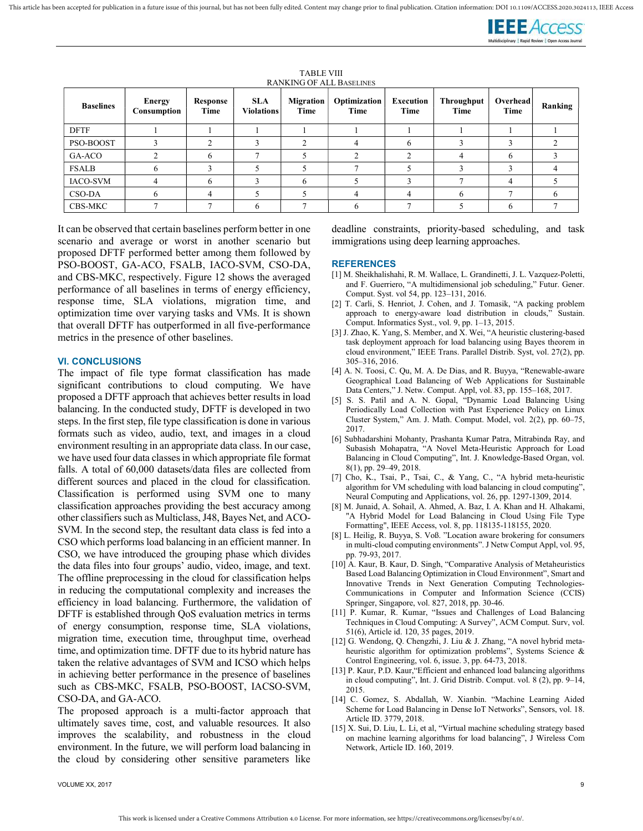

| <b>Baselines</b> | <b>Energy</b><br>Consumption | Response<br>Time | <b>SLA</b><br><b>Violations</b> | <b>Migration</b><br>Time | Optimization<br>Time | <b>Execution</b><br>Time | <b>Throughput</b><br>Time | <b>Overhead</b><br>Time | Ranking |
|------------------|------------------------------|------------------|---------------------------------|--------------------------|----------------------|--------------------------|---------------------------|-------------------------|---------|
| <b>DFTF</b>      |                              |                  |                                 |                          |                      |                          |                           |                         |         |
| PSO-BOOST        |                              |                  |                                 |                          | 4                    |                          |                           |                         |         |
| GA-ACO           |                              |                  |                                 |                          |                      |                          | 4                         | h                       |         |
| <b>FSALB</b>     |                              |                  |                                 |                          |                      |                          |                           |                         |         |
| IACO-SVM         |                              |                  |                                 |                          |                      |                          |                           |                         |         |
| CSO-DA           |                              |                  |                                 |                          |                      |                          | h                         |                         |         |
| CBS-MKC          |                              |                  |                                 |                          | h                    |                          |                           | h                       |         |

TABLE VIII **DANIVING OF ALL BASELINES** 

It can be observed that certain baselines perform better in one scenario and average or worst in another scenario but proposed DFTF performed better among them followed by PSO-BOOST, GA-ACO, FSALB, IACO-SVM, CSO-DA, and CBS-MKC, respectively. Figure 12 shows the averaged performance of all baselines in terms of energy efficiency, response time, SLA violations, migration time, and optimization time over varying tasks and VMs. It is shown that overall DFTF has outperformed in all five-performance metrics in the presence of other baselines.

### VI. CONCLUSIONS

The impact of file type format classification has made significant contributions to cloud computing. We have proposed a DFTF approach that achieves better results in load balancing. In the conducted study, DFTF is developed in two steps. In the first step, file type classification is done in various formats such as video, audio, text, and images in a cloud environment resulting in an appropriate data class. In our case, we have used four data classes in which appropriate file format falls. A total of 60,000 datasets/data files are collected from different sources and placed in the cloud for classification. Classification is performed using SVM one to many classification approaches providing the best accuracy among other classifiers such as Multiclass, J48, Bayes Net, and ACO-SVM. In the second step, the resultant data class is fed into a CSO which performs load balancing in an efficient manner. In CSO, we have introduced the grouping phase which divides the data files into four groups' audio, video, image, and text. The offline preprocessing in the cloud for classification helps in reducing the computational complexity and increases the efficiency in load balancing. Furthermore, the validation of DFTF is established through QoS evaluation metrics in terms of energy consumption, response time, SLA violations, migration time, execution time, throughput time, overhead time, and optimization time. DFTF due to its hybrid nature has taken the relative advantages of SVM and ICSO which helps in achieving better performance in the presence of baselines such as CBS-MKC, FSALB, PSO-BOOST, IACSO-SVM, CSO-DA, and GA-ACO.

The proposed approach is a multi-factor approach that ultimately saves time, cost, and valuable resources. It also improves the scalability, and robustness in the cloud environment. In the future, we will perform load balancing in the cloud by considering other sensitive parameters like

deadline constraints, priority-based scheduling, and task immigrations using deep learning approaches.

### **REFERENCES**

- [1] M. Sheikhalishahi, R. M. Wallace, L. Grandinetti, J. L. Vazquez-Poletti, and F. Guerriero, "A multidimensional job scheduling," Futur. Gener. Comput. Syst. vol 54, pp. 123–131, 2016.
- [2] T. Carli, S. Henriot, J. Cohen, and J. Tomasik, "A packing problem approach to energy-aware load distribution in clouds," Sustain. Comput. Informatics Syst., vol. 9, pp. 1–13, 2015.
- [3] J. Zhao, K. Yang, S. Member, and X. Wei, "A heuristic clustering-based task deployment approach for load balancing using Bayes theorem in cloud environment," IEEE Trans. Parallel Distrib. Syst, vol. 27(2), pp. 305–316, 2016.
- [4] A. N. Toosi, C. Qu, M. A. De Dias, and R. Buyya, "Renewable-aware Geographical Load Balancing of Web Applications for Sustainable Data Centers," J. Netw. Comput. Appl, vol. 83, pp. 155–168, 2017.
- [5] S. S. Patil and A. N. Gopal, "Dynamic Load Balancing Using Periodically Load Collection with Past Experience Policy on Linux Cluster System," Am. J. Math. Comput. Model, vol. 2(2), pp. 60–75, 2017.
- [6] Subhadarshini Mohanty, Prashanta Kumar Patra, Mitrabinda Ray, and Subasish Mohapatra, "A Novel Meta-Heuristic Approach for Load Balancing in Cloud Computing", Int. J. Knowledge-Based Organ, vol. 8(1), pp. 29–49, 2018.
- [7] Cho, K., Tsai, P., Tsai, C., & Yang, C., "A hybrid meta-heuristic algorithm for VM scheduling with load balancing in cloud computing", Neural Computing and Applications, vol. 26, pp. 1297-1309, 2014.
- [8] M. Junaid, A. Sohail, A. Ahmed, A. Baz, I. A. Khan and H. Alhakami, "A Hybrid Model for Load Balancing in Cloud Using File Type Formatting", IEEE Access, vol. 8, pp. 118135-118155, 2020.
- [8] L. Heilig, R. Buyya, S. Voß. "Location aware brokering for consumers in multi-cloud computing environments". J Netw Comput Appl, vol. 95, pp. 79-93, 2017.
- [10] A. Kaur, B. Kaur, D. Singh, "Comparative Analysis of Metaheuristics Based Load Balancing Optimization in Cloud Environment", Smart and Innovative Trends in Next Generation Computing Technologies-Communications in Computer and Information Science (CCIS) Springer, Singapore, vol. 827, 2018, pp. 30-46.
- [11] P. Kumar, R. Kumar, "Issues and Challenges of Load Balancing Techniques in Cloud Computing: A Survey", ACM Comput. Surv, vol. 51(6), Article id. 120, 35 pages, 2019.
- [12] G. Wendong, Q. Chengzhi, J. Liu & J. Zhang, "A novel hybrid metaheuristic algorithm for optimization problems", Systems Science & Control Engineering, vol. 6, issue. 3, pp. 64-73, 2018.
- [13] P. Kaur, P.D. Kaur, "Efficient and enhanced load balancing algorithms in cloud computing", Int. J. Grid Distrib. Comput. vol. 8 (2), pp. 9–14, 2015.
- [14] C. Gomez, S. Abdallah, W. Xianbin. "Machine Learning Aided Scheme for Load Balancing in Dense IoT Networks", Sensors, vol. 18. Article ID. 3779, 2018.
- [15] X. Sui, D. Liu, L. Li, et al, "Virtual machine scheduling strategy based on machine learning algorithms for load balancing", J Wireless Com Network, Article ID. 160, 2019.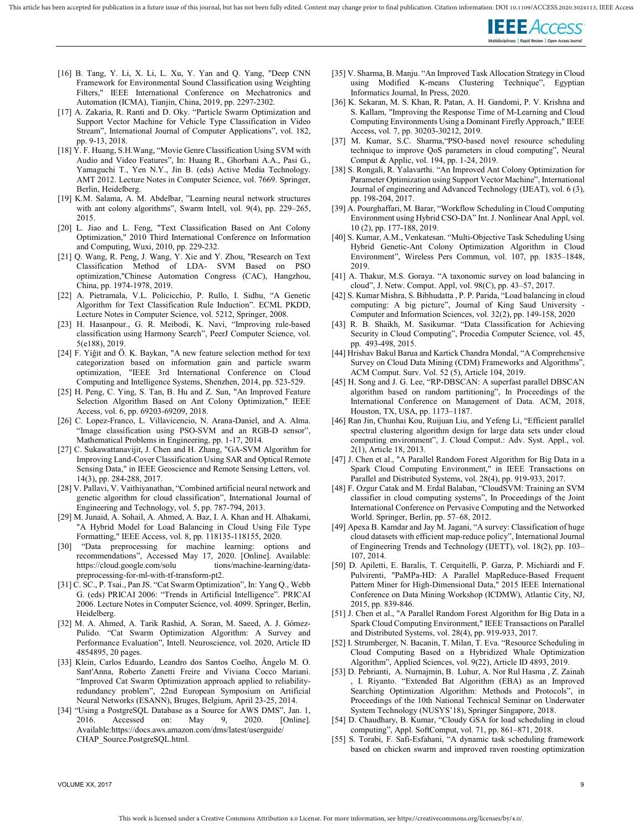

- [16] B. Tang, Y. Li, X. Li, L. Xu, Y. Yan and Q. Yang, "Deep CNN Framework for Environmental Sound Classification using Weighting Filters," IEEE International Conference on Mechatronics and Automation (ICMA), Tianjin, China, 2019, pp. 2297-2302.
- [17] A. Zakaria, R. Ranti and D. Oky. "Particle Swarm Optimization and Support Vector Machine for Vehicle Type Classification in Video Stream", International Journal of Computer Applications", vol. 182, pp. 9-13, 2018.
- [18] Y. F. Huang, S.H.Wang, "Movie Genre Classification Using SVM with Audio and Video Features", In: Huang R., Ghorbani A.A., Pasi G., Yamaguchi T., Yen N.Y., Jin B. (eds) Active Media Technology. AMT 2012. Lecture Notes in Computer Science, vol. 7669. Springer, Berlin, Heidelberg.
- [19] K.M. Salama, A. M. Abdelbar, "Learning neural network structures with ant colony algorithms", Swarm Intell, vol. 9(4), pp. 229–265, 2015.
- [20] L. Jiao and L. Feng, "Text Classification Based on Ant Colony Optimization," 2010 Third International Conference on Information and Computing, Wuxi, 2010, pp. 229-232.
- [21] Q. Wang, R. Peng, J. Wang, Y. Xie and Y. Zhou, "Research on Text Classification Method of LDA- SVM Based on PSO optimization,"Chinese Automation Congress (CAC), Hangzhou, China, pp. 1974-1978, 2019.
- [22] A. Pietramala, V.L. Policicchio, P. Rullo, I. Sidhu, "A Genetic Algorithm for Text Classification Rule Induction". ECML PKDD, Lecture Notes in Computer Science, vol. 5212, Springer, 2008.
- [23] H. Hasanpour., G. R. Meibodi, K. Navi, "Improving rule-based classification using Harmony Search", PeerJ Computer Science, vol. 5(e188), 2019.
- [24] F. Yı̇ğı̇t and Ö. K. Baykan, "A new feature selection method for text categorization based on information gain and particle swarm optimization, "IEEE 3rd International Conference on Cloud Computing and Intelligence Systems, Shenzhen, 2014, pp. 523-529.
- [25] H. Peng, C. Ying, S. Tan, B. Hu and Z. Sun, "An Improved Feature Selection Algorithm Based on Ant Colony Optimization," IEEE Access, vol. 6, pp. 69203-69209, 2018.
- [26] C. Lopez-Franco, L. Villavicencio, N. Arana-Daniel, and A. Alma. "Image classification using PSO-SVM and an RGB-D sensor", Mathematical Problems in Engineering, pp. 1-17, 2014.
- [27] C. Sukawattanavijit, J. Chen and H. Zhang, "GA-SVM Algorithm for Improving Land-Cover Classification Using SAR and Optical Remote Sensing Data," in IEEE Geoscience and Remote Sensing Letters, vol. 14(3), pp. 284-288, 2017.
- [28] V. Pallavi, V. Vaithiyanathan, "Combined artificial neural network and genetic algorithm for cloud classification", International Journal of Engineering and Technology, vol. 5, pp. 787-794, 2013.
- [29] M. Junaid, A. Sohail, A. Ahmed, A. Baz, I. A. Khan and H. Alhakami, "A Hybrid Model for Load Balancing in Cloud Using File Type Formatting," IEEE Access, vol. 8, pp. 118135-118155, 2020.
- [30] "Data preprocessing for machine learning: options and recommendations", Accessed May 17, 2020. [Online]. Available:<br>https://cloud.google.com/solutions/machine-learning/datahttps://cloud.google.com/solu preprocessing-for-ml-with-tf-transform-pt2.
- [31] C. SC., P. Tsai., Pan JS. "Cat Swarm Optimization", In: Yang Q., Webb G. (eds) PRICAI 2006: "Trends in Artificial Intelligence". PRICAI 2006. Lecture Notes in Computer Science, vol. 4099. Springer, Berlin, Heidelberg.
- [32] M. A. Ahmed, A. Tarik Rashid, A. Soran, M. Saeed, A. J. Gómez-Pulido. "Cat Swarm Optimization Algorithm: A Survey and Performance Evaluation", Intell. Neuroscience, vol. 2020, Article ID 4854895, 20 pages.
- [33] Klein, Carlos Eduardo, Leandro dos Santos Coelho, Ângelo M. O. Sant'Anna, Roberto Zanetti Freire and Viviana Cocco Mariani. "Improved Cat Swarm Optimization approach applied to reliabilityredundancy problem", 22nd European Symposium on Artificial Neural Networks (ESANN), Bruges, Belgium, April 23-25, 2014.
- [34] "Using a PostgreSQL Database as a Source for AWS DMS", Jan. 1, 2016. Accessed on: May 9, 2020. [Online]. Available:https://docs.aws.amazon.com/dms/latest/userguide/ CHAP\_Source.PostgreSQL.html.
- [35] V. Sharma, B. Manju. "An Improved Task Allocation Strategy in Cloud using Modified K-means Clustering Technique", Egyptian Informatics Journal, In Press, 2020.
- [36] K. Sekaran, M. S. Khan, R. Patan, A. H. Gandomi, P. V. Krishna and S. Kallam, "Improving the Response Time of M-Learning and Cloud Computing Environments Using a Dominant Firefly Approach," IEEE Access, vol. 7, pp. 30203-30212, 2019.
- [37] M. Kumar, S.C. Sharma, "PSO-based novel resource scheduling technique to improve QoS parameters in cloud computing", Neural Comput & Applic, vol. 194, pp. 1-24, 2019.
- [38] S. Rongali, R. Yalavarthi. "An Improved Ant Colony Optimization for Parameter Optimization using Support Vector Machine", International Journal of engineering and Advanced Technology (IJEAT), vol. 6 (3), pp. 198-204, 2017.
- [39] A. Pourghaffari, M. Barar, "Workflow Scheduling in Cloud Computing Environment using Hybrid CSO-DA" Int. J. Nonlinear Anal Appl, vol. 10 (2), pp. 177-188, 2019.
- [40] S. Kumar, A.M., Venkatesan. "Multi-Objective Task Scheduling Using Hybrid Genetic-Ant Colony Optimization Algorithm in Cloud Environment", Wireless Pers Commun, vol. 107, pp. 1835–1848, 2019.
- [41] A. Thakur, M.S. Goraya. "A taxonomic survey on load balancing in cloud", J. Netw. Comput. Appl, vol. 98(C), pp. 43–57, 2017.
- [42] S. Kumar Mishra, S. Bibhudatta , P. P. Parida, "Load balancing in cloud computing: A big picture", Journal of King Saud University - Computer and Information Sciences, vol. 32(2), pp. 149-158, 2020
- [43] R. B. Shaikh, M. Sasikumar. "Data Classification for Achieving Security in Cloud Computing", Procedia Computer Science, vol. 45, pp. 493-498, 2015.
- [44] Hrishav Bakul Barua and Kartick Chandra Mondal, "A Comprehensive Survey on Cloud Data Mining (CDM) Frameworks and Algorithms", ACM Comput. Surv. Vol. 52 (5), Article 104, 2019.
- [45] H. Song and J. G. Lee, "RP-DBSCAN: A superfast parallel DBSCAN algorithm based on random partitioning", In Proceedings of the International Conference on Management of Data. ACM, 2018, Houston, TX, USA, pp. 1173–1187.
- [46] Ran Jin, Chunhai Kou, Ruijuan Liu, and Yefeng Li, "Efficient parallel spectral clustering algorithm design for large data sets under cloud computing environment", J. Cloud Comput.: Adv. Syst. Appl., vol. 2(1), Article 18, 2013.
- [47] J. Chen et al., "A Parallel Random Forest Algorithm for Big Data in a Spark Cloud Computing Environment," in IEEE Transactions on Parallel and Distributed Systems, vol. 28(4), pp. 919-933, 2017.
- [48] F. Ozgur Catak and M. Erdal Balaban, "CloudSVM: Training an SVM classifier in cloud computing systems", In Proceedings of the Joint International Conference on Pervasive Computing and the Networked World. Springer, Berlin, pp. 57–68, 2012.
- [49] Apexa B. Kamdar and Jay M. Jagani, "A survey: Classification of huge cloud datasets with efficient map-reduce policy", International Journal of Engineering Trends and Technology (IJETT), vol. 18(2), pp. 103– 107, 2014.
- [50] D. Apiletti, E. Baralis, T. Cerquitelli, P. Garza, P. Michiardi and F. Pulvirenti, "PaMPa-HD: A Parallel MapReduce-Based Frequent Pattern Miner for High-Dimensional Data," 2015 IEEE International Conference on Data Mining Workshop (ICDMW), Atlantic City, NJ, 2015, pp. 839-846.
- [51] J. Chen et al., "A Parallel Random Forest Algorithm for Big Data in a Spark Cloud Computing Environment," IEEE Transactions on Parallel and Distributed Systems, vol. 28(4), pp. 919-933, 2017.
- [52] I. Strumberger, N. Bacanin, T. Milan, T. Eva. "Resource Scheduling in Cloud Computing Based on a Hybridized Whale Optimization Algorithm", Applied Sciences, vol. 9(22), Article ID 4893, 2019.
- [53] D. Pebrianti, A. Nurnajmin, B. Luhur, A. Nor Rul Hasma , Z. Zainah , I. Riyanto. "Extended Bat Algorithm (EBA) as an Improved Searching Optimization Algorithm: Methods and Protocols", in Proceedings of the 10th National Technical Seminar on Underwater System Technology (NUSYS'18), Springer Singapore, 2018.
- [54] D. Chaudhary, B. Kumar, "Cloudy GSA for load scheduling in cloud computing", Appl. SoftComput, vol. 71, pp. 861–871, 2018.
- [55] S. Torabi, F. Safi-Esfahani, "A dynamic task scheduling framework based on chicken swarm and improved raven roosting optimization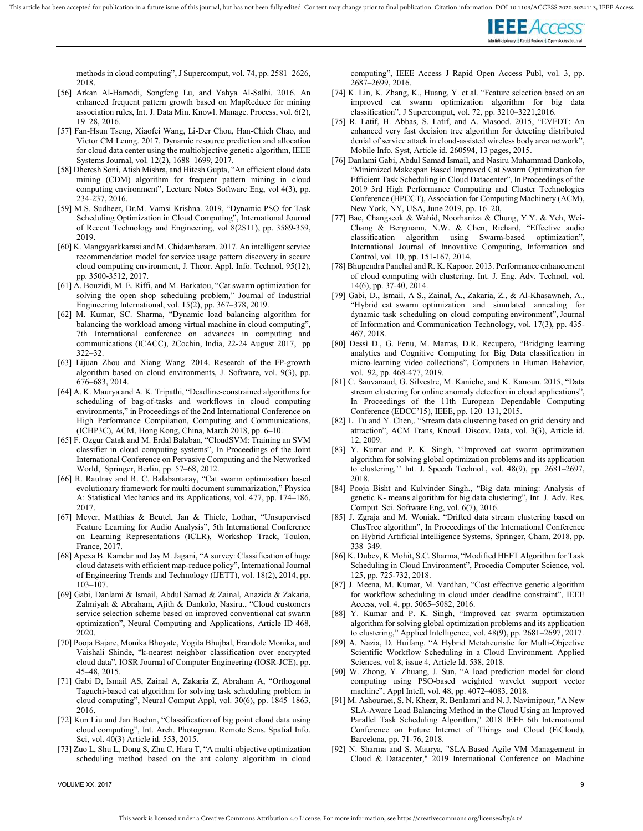

methods in cloud computing", J Supercomput, vol. 74, pp. 2581–2626, 2018.

- [56] Arkan Al-Hamodi, Songfeng Lu, and Yahya Al-Salhi. 2016. An enhanced frequent pattern growth based on MapReduce for mining association rules, Int. J. Data Min. Knowl. Manage. Process, vol. 6(2), 19–28, 2016.
- [57] Fan-Hsun Tseng, Xiaofei Wang, Li-Der Chou, Han-Chieh Chao, and Victor CM Leung. 2017. Dynamic resource prediction and allocation for cloud data center using the multiobjective genetic algorithm, IEEE Systems Journal, vol. 12(2), 1688–1699, 2017.
- [58] Dheresh Soni, Atish Mishra, and Hitesh Gupta, "An efficient cloud data mining (CDM) algorithm for frequent pattern mining in cloud computing environment", Lecture Notes Software Eng, vol 4(3), pp. 234-237, 2016.
- [59] M.S. Sudheer, Dr.M. Vamsi Krishna. 2019, "Dynamic PSO for Task Scheduling Optimization in Cloud Computing", International Journal of Recent Technology and Engineering, vol 8(2S11), pp. 3589-359, 2019.
- [60] K. Mangayarkkarasi and M. Chidambaram. 2017. An intelligent service recommendation model for service usage pattern discovery in secure cloud computing environment, J. Theor. Appl. Info. Technol, 95(12), pp. 3500-3512, 2017.
- [61] A. Bouzidi, M. E. Riffi, and M. Barkatou, "Cat swarm optimization for solving the open shop scheduling problem," Journal of Industrial Engineering International, vol. 15(2), pp. 367–378, 2019.
- [62] M. Kumar, SC. Sharma, "Dynamic load balancing algorithm for balancing the workload among virtual machine in cloud computing", 7th International conference on advances in computing and communications (ICACC), 2Cochin, India, 22-24 August 2017, pp 322–32.
- [63] Lijuan Zhou and Xiang Wang. 2014. Research of the FP-growth algorithm based on cloud environments, J. Software, vol. 9(3), pp. 676–683, 2014.
- [64] A. K. Maurya and A. K. Tripathi, "Deadline-constrained algorithms for scheduling of bag-of-tasks and workflows in cloud computing environments," in Proceedings of the 2nd International Conference on High Performance Compilation, Computing and Communications, (ICHP3C), ACM, Hong Kong, China, March 2018, pp. 6–10.
- [65] F. Ozgur Catak and M. Erdal Balaban, "CloudSVM: Training an SVM classifier in cloud computing systems", In Proceedings of the Joint International Conference on Pervasive Computing and the Networked World, Springer, Berlin, pp. 57–68, 2012.
- [66] R. Rautray and R. C. Balabantaray, "Cat swarm optimization based evolutionary framework for multi document summarization," Physica A: Statistical Mechanics and its Applications, vol. 477, pp. 174–186, 2017.
- [67] Meyer, Matthias & Beutel, Jan & Thiele, Lothar, "Unsupervised Feature Learning for Audio Analysis", 5th International Conference on Learning Representations (ICLR), Workshop Track, Toulon, France, 2017.
- [68] Apexa B. Kamdar and Jay M. Jagani, "A survey: Classification of huge cloud datasets with efficient map-reduce policy", International Journal of Engineering Trends and Technology (IJETT), vol. 18(2), 2014, pp. 103–107.
- [69] Gabi, Danlami & Ismail, Abdul Samad & Zainal, Anazida & Zakaria, Zalmiyah & Abraham, Ajith & Dankolo, Nasiru., "Cloud customers service selection scheme based on improved conventional cat swarm optimization", Neural Computing and Applications, Article ID 468, 2020.
- [70] Pooja Bajare, Monika Bhoyate, Yogita Bhujbal, Erandole Monika, and Vaishali Shinde, "k-nearest neighbor classification over encrypted cloud data", IOSR Journal of Computer Engineering (IOSR-JCE), pp. 45–48, 2015.
- [71] Gabi D, Ismail AS, Zainal A, Zakaria Z, Abraham A, "Orthogonal Taguchi-based cat algorithm for solving task scheduling problem in cloud computing", Neural Comput Appl, vol. 30(6), pp. 1845–1863, 2016.
- [72] Kun Liu and Jan Boehm, "Classification of big point cloud data using cloud computing", Int. Arch. Photogram. Remote Sens. Spatial Info. Sci, vol. 40(3) Article id. 553, 2015.
- [73] Zuo L, Shu L, Dong S, Zhu C, Hara T, "A multi-objective optimization scheduling method based on the ant colony algorithm in cloud

VOLUME XX, 2017 9

computing", IEEE Access J Rapid Open Access Publ, vol. 3, pp. 2687–2699, 2016.

- [74] K. Lin, K. Zhang, K., Huang, Y. et al. "Feature selection based on an improved cat swarm optimization algorithm for big classification", J Supercomput, vol. 72, pp. 3210–3221,2016.
- [75] R. Latif, H. Abbas, S. Latif, and A. Masood. 2015, "EVFDT: An enhanced very fast decision tree algorithm for detecting distributed denial of service attack in cloud-assisted wireless body area network", Mobile Info. Syst, Article id. 260594, 13 pages, 2015.
- [76] Danlami Gabi, Abdul Samad Ismail, and Nasiru Muhammad Dankolo, "Minimized Makespan Based Improved Cat Swarm Optimization for Efficient Task Scheduling in Cloud Datacenter", In Proceedings of the 2019 3rd High Performance Computing and Cluster Technologies Conference (HPCCT), Association for Computing Machinery (ACM), New York, NY, USA, June 2019, pp. 16–20,
- [77] Bae, Changseok & Wahid, Noorhaniza & Chung, Y.Y. & Yeh, Wei-Chang & Bergmann, N.W. & Chen, Richard, "Effective audio classification algorithm using Swarm-based optimization", International Journal of Innovative Computing, Information and Control, vol. 10, pp. 151-167, 2014.
- [78] Bhupendra Panchal and R. K. Kapoor. 2013. Performance enhancement of cloud computing with clustering. Int. J. Eng. Adv. Technol, vol. 14(6), pp. 37-40, 2014.
- [79] Gabi, D., Ismail, A S., Zainal, A., Zakaria, Z., & Al-Khasawneh, A., "Hybrid cat swarm optimization and simulated annealing for dynamic task scheduling on cloud computing environment", Journal of Information and Communication Technology, vol. 17(3), pp. 435- 467, 2018.
- [80] Dessì D., G. Fenu, M. Marras, D.R. Recupero, "Bridging learning analytics and Cognitive Computing for Big Data classification in micro-learning video collections", Computers in Human Behavior, vol. 92, pp. 468-477, 2019.
- [81] C. Sauvanaud, G. Silvestre, M. Kaniche, and K. Kanoun. 2015, "Data stream clustering for online anomaly detection in cloud applications", In Proceedings of the 11th European Dependable Computing Conference (EDCC'15), IEEE, pp. 120–131, 2015.
- [82] L. Tu and Y. Chen,. "Stream data clustering based on grid density and attraction", ACM Trans, Knowl. Discov. Data, vol. 3(3), Article id. 12, 2009.
- [83] Y. Kumar and P. K. Singh, ''Improved cat swarm optimization algorithm for solving global optimization problems and its application to clustering,'' Int. J. Speech Technol., vol. 48(9), pp. 2681–2697, 2018.
- [84] Pooja Bisht and Kulvinder Singh., "Big data mining: Analysis of genetic K- means algorithm for big data clustering", Int. J. Adv. Res. Comput. Sci. Software Eng, vol. 6(7), 2016.
- [85] J. Zgraja and M. Woniak. "Drifted data stream clustering based on ClusTree algorithm", In Proceedings of the International Conference on Hybrid Artificial Intelligence Systems, Springer, Cham, 2018, pp. 338–349.
- [86] K. Dubey, K.Mohit, S.C. Sharma, "Modified HEFT Algorithm for Task Scheduling in Cloud Environment", Procedia Computer Science, vol. 125, pp. 725-732, 2018.
- [87] J. Meena, M. Kumar, M. Vardhan, "Cost effective genetic algorithm for workflow scheduling in cloud under deadline constraint", IEEE Access, vol. 4, pp. 5065–5082, 2016.
- [88] Y. Kumar and P. K. Singh, "Improved cat swarm optimization algorithm for solving global optimization problems and its application to clustering," Applied Intelligence, vol. 48(9), pp. 2681–2697, 2017.
- [89] A. Nazia, D. Huifang. "A Hybrid Metaheuristic for Multi-Objective Scientific Workflow Scheduling in a Cloud Environment. Applied Sciences, vol 8, issue 4, Article Id. 538, 2018.
- [90] W. Zhong, Y. Zhuang, J. Sun, "A load prediction model for cloud computing using PSO-based weighted wavelet support vector machine", Appl Intell, vol. 48, pp. 4072–4083, 2018.
- [91] M. Ashouraei, S. N. Khezr, R. Benlamri and N. J. Navimipour, "A New SLA-Aware Load Balancing Method in the Cloud Using an Improved Parallel Task Scheduling Algorithm," 2018 IEEE 6th International Conference on Future Internet of Things and Cloud (FiCloud), Barcelona, pp. 71-76, 2018.
- [92] N. Sharma and S. Maurya, "SLA-Based Agile VM Management in Cloud & Datacenter," 2019 International Conference on Machine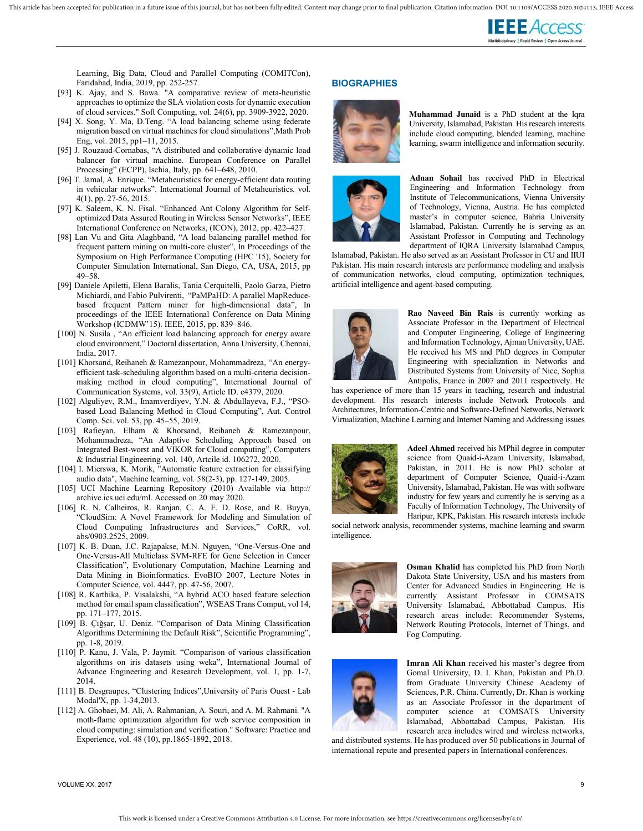

Learning, Big Data, Cloud and Parallel Computing (COMITCon), Faridabad, India, 2019, pp. 252-257.

- [93] K. Ajay, and S. Bawa. "A comparative review of meta-heuristic approaches to optimize the SLA violation costs for dynamic execution of cloud services." Soft Computing, vol. 24(6), pp. 3909-3922, 2020.
- [94] X. Song, Y. Ma, D.Teng. "A load balancing scheme using federate migration based on virtual machines for cloud simulations",Math Prob Eng, vol. 2015, pp1–11, 2015.
- [95] J. Rouzaud-Cornabas, "A distributed and collaborative dynamic load balancer for virtual machine. European Conference on Parallel Processing" (ECPP), Ischia, Italy, pp. 641–648, 2010.
- [96] T. Jamal, A. Enrique. "Metaheuristics for energy-efficient data routing in vehicular networks". International Journal of Metaheuristics. vol. 4(1), pp. 27-56, 2015.
- [97] K. Saleem, K. N. Fisal. "Enhanced Ant Colony Algorithm for Selfoptimized Data Assured Routing in Wireless Sensor Networks", IEEE International Conference on Networks, (ICON), 2012, pp. 422–427.
- [98] Lan Vu and Gita Alaghband, "A load balancing parallel method for frequent pattern mining on multi-core cluster", In Proceedings of the Symposium on High Performance Computing (HPC '15), Society for Computer Simulation International, San Diego, CA, USA, 2015, pp 49–58.
- [99] Daniele Apiletti, Elena Baralis, Tania Cerquitelli, Paolo Garza, Pietro Michiardi, and Fabio Pulvirenti, "PaMPaHD: A parallel MapReducebased frequent Pattern miner for high-dimensional data", In proceedings of the IEEE International Conference on Data Mining Workshop (ICDMW'15). IEEE, 2015, pp. 839–846.
- [100] N. Susila, "An efficient load balancing approach for energy aware cloud environment," Doctoral dissertation, Anna University, Chennai, India, 2017.
- [101] Khorsand, Reihaneh & Ramezanpour, Mohammadreza, "An energyefficient task-scheduling algorithm based on a multi-criteria decisionmaking method in cloud computing", International Journal of Communication Systems, vol. 33(9), Article ID. e4379, 2020.
- [102] Alguliyev, R.M., Imamverdiyev, Y.N. & Abdullayeva, F.J., "PSObased Load Balancing Method in Cloud Computing", Aut. Control Comp. Sci. vol. 53, pp. 45–55, 2019.
- [103] Rafieyan, Elham & Khorsand, Reihaneh & Ramezanpour, Mohammadreza, "An Adaptive Scheduling Approach based on Integrated Best-worst and VIKOR for Cloud computing", Computers & Industrial Engineering. vol. 140, Artcile id. 106272, 2020.
- [104] I. Mierswa, K. Morik, "Automatic feature extraction for classifying audio data", Machine learning, vol. 58(2-3), pp. 127-149, 2005.
- [105] UCI Machine Learning Repository (2010) Available via http:// archive.ics.uci.edu/ml. Accessed on 20 may 2020.
- [106] R. N. Calheiros, R. Ranjan, C. A. F. D. Rose, and R. Buyya, "CloudSim: A Novel Framework for Modeling and Simulation of Cloud Computing Infrastructures and Services," CoRR, vol. abs/0903.2525, 2009.
- [107] K. B. Duan, J.C. Rajapakse, M.N. Nguyen, "One-Versus-One and One-Versus-All Multiclass SVM-RFE for Gene Selection in Cancer Classification", Evolutionary Computation, Machine Learning and Data Mining in Bioinformatics. EvoBIO 2007, Lecture Notes in Computer Science, vol. 4447, pp. 47-56, 2007.
- [108] R. Karthika, P. Visalakshi, "A hybrid ACO based feature selection method for email spam classification", WSEAS Trans Comput, vol 14, pp. 171–177, 2015.
- [109] B. Çığşar, U. Deniz. "Comparison of Data Mining Classification Algorithms Determining the Default Risk", Scientific Programming", pp. 1-8, 2019.
- [110] P. Kanu, J. Vala, P. Jaymit. "Comparison of various classification algorithms on iris datasets using weka", International Journal of Advance Engineering and Research Development, vol. 1, pp. 1-7, 2014.
- [111] B. Desgraupes, "Clustering Indices",University of Paris Ouest Lab Modal'X, pp. 1-34,2013.
- [112] A. Ghobaei, M. Ali, A. Rahmanian, A. Souri, and A. M. Rahmani. "A moth‐flame optimization algorithm for web service composition in cloud computing: simulation and verification." Software: Practice and Experience, vol. 48 (10), pp.1865-1892, 2018.

#### **BIOGRAPHIES**



Muhammad Junaid is a PhD student at the Iqra University, Islamabad, Pakistan. His research interests include cloud computing, blended learning, machine learning, swarm intelligence and information security.



Adnan Sohail has received PhD in Electrical Engineering and Information Technology from Institute of Telecommunications, Vienna University of Technology, Vienna, Austria. He has completed master's in computer science, Bahria University Islamabad, Pakistan. Currently he is serving as an Assistant Professor in Computing and Technology department of IQRA University Islamabad Campus,

Islamabad, Pakistan. He also served as an Assistant Professor in CU and IIUI Pakistan. His main research interests are performance modeling and analysis of communication networks, cloud computing, optimization techniques, artificial intelligence and agent-based computing.



Rao Naveed Bin Rais is currently working as Associate Professor in the Department of Electrical and Computer Engineering, College of Engineering and Information Technology, Ajman University, UAE. He received his MS and PhD degrees in Computer Engineering with specialization in Networks and Distributed Systems from University of Nice, Sophia Antipolis, France in 2007 and 2011 respectively. He

has experience of more than 15 years in teaching, research and industrial development. His research interests include Network Protocols and Architectures, Information-Centric and Software-Defined Networks, Network Virtualization, Machine Learning and Internet Naming and Addressing issues



Adeel Ahmed received his MPhil degree in computer science from Quaid-i-Azam University, Islamabad, Pakistan, in 2011. He is now PhD scholar at department of Computer Science, Quaid-i-Azam University, Islamabad, Pakistan. He was with software industry for few years and currently he is serving as a Faculty of Information Technology, The University of Haripur, KPK, Pakistan. His research interests include

social network analysis, recommender systems, machine learning and swarm intelligence.



Osman Khalid has completed his PhD from North Dakota State University, USA and his masters from Center for Advanced Studies in Engineering. He is currently Assistant Professor in COMSATS University Islamabad, Abbottabad Campus. His research areas include: Recommender Systems, Network Routing Protocols, Internet of Things, and Fog Computing.



Imran Ali Khan received his master's degree from Gomal University, D. I. Khan, Pakistan and Ph.D. from Graduate University Chinese Academy of Sciences, P.R. China. Currently, Dr. Khan is working as an Associate Professor in the department of computer science at COMSATS University Islamabad, Abbottabad Campus, Pakistan. His research area includes wired and wireless networks,

and distributed systems. He has produced over 50 publications in Journal of international repute and presented papers in International conferences.